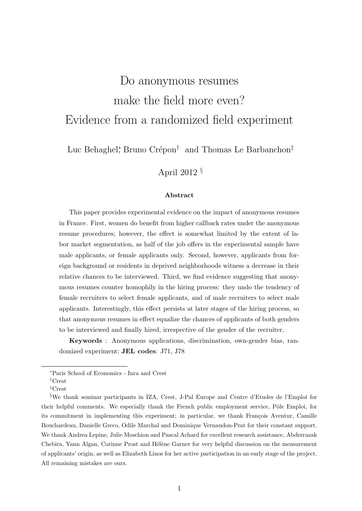# <span id="page-0-0"></span>Do anonymous resumes make the field more even? Evidence from a randomized field experiment

Luc Behaghel<sup>\*</sup>, Bruno Crépon<sup>†</sup> and Thomas Le Barbanchon<sup>‡</sup>

April 2012 §

#### Abstract

This paper provides experimental evidence on the impact of anonymous resumes in France. First, women do benefit from higher callback rates under the anonymous resume procedures; however, the effect is somewhat limited by the extent of labor market segmentation, as half of the job offers in the experimental sample have male applicants, or female applicants only. Second, however, applicants from foreign background or residents in deprived neighborhoods witness a decrease in their relative chances to be interviewed. Third, we find evidence suggesting that anonymous resumes counter homophily in the hiring process: they undo the tendency of female recruiters to select female applicants, and of male recruiters to select male applicants. Interestingly, this effect persists at later stages of the hiring process, so that anonymous resumes in effect equalize the chances of applicants of both genders to be interviewed and finally hired, irrespective of the gender of the recruiter.

Keywords : Anonymous applications, discrimination, own-gender bias, randomized experiment; JEL codes: J71, J78

<sup>∗</sup>Paris School of Economics - Inra and Crest

<sup>†</sup>Crest

<sup>‡</sup>Crest

<sup>§</sup>We thank seminar participants in IZA, Crest, J-Pal Europe and Centre d'Etudes de l'Emploi for their helpful comments. We especially thank the French public employment service, Pôle Emploi, for its commitment in implementing this experiment; in particular, we thank François Aventur, Camille Bouchardeau, Danielle Greco, Odile Marchal and Dominique Vernaudon-Prat for their constant support. We thank Andrea Lepine, Julie Moschion and Pascal Achard for excellent research assistance, Abderrazak Chebira, Yann Algan, Corinne Prost and Hélène Garner for very helpful discussion on the measurement of applicants' origin, as well as Elizabeth Linos for her active participation in an early stage of the project. All remaining mistakes are ours.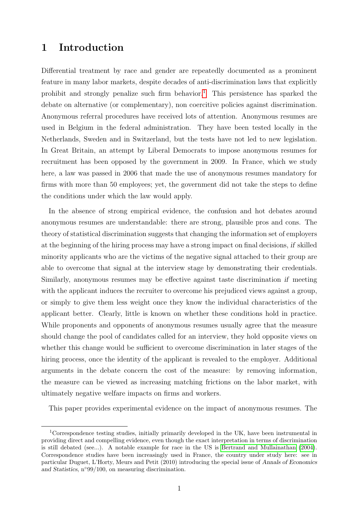### 1 Introduction

Differential treatment by race and gender are repeatedly documented as a prominent feature in many labor markets, despite decades of anti-discrimination laws that explicitly prohibit and strongly penalize such firm behavior.<sup>[1](#page-0-0)</sup> This persistence has sparked the debate on alternative (or complementary), non coercitive policies against discrimination. Anonymous referral procedures have received lots of attention. Anonymous resumes are used in Belgium in the federal administration. They have been tested locally in the Netherlands, Sweden and in Switzerland, but the tests have not led to new legislation. In Great Britain, an attempt by Liberal Democrats to impose anonymous resumes for recruitment has been opposed by the government in 2009. In France, which we study here, a law was passed in 2006 that made the use of anonymous resumes mandatory for firms with more than 50 employees; yet, the government did not take the steps to define the conditions under which the law would apply.

In the absence of strong empirical evidence, the confusion and hot debates around anonymous resumes are understandable: there are strong, plausible pros and cons. The theory of statistical discrimination suggests that changing the information set of employers at the beginning of the hiring process may have a strong impact on final decisions, if skilled minority applicants who are the victims of the negative signal attached to their group are able to overcome that signal at the interview stage by demonstrating their credentials. Similarly, anonymous resumes may be effective against taste discrimination if meeting with the applicant induces the recruiter to overcome his prejudiced views against a group, or simply to give them less weight once they know the individual characteristics of the applicant better. Clearly, little is known on whether these conditions hold in practice. While proponents and opponents of anonymous resumes usually agree that the measure should change the pool of candidates called for an interview, they hold opposite views on whether this change would be sufficient to overcome discrimination in later stages of the hiring process, once the identity of the applicant is revealed to the employer. Additional arguments in the debate concern the cost of the measure: by removing information, the measure can be viewed as increasing matching frictions on the labor market, with ultimately negative welfare impacts on firms and workers.

This paper provides experimental evidence on the impact of anonymous resumes. The

<sup>1</sup>Correspondence testing studies, initially primarily developed in the UK, have been instrumental in providing direct and compelling evidence, even though the exact interpretation in terms of discrimination is still debated (see...). A notable example for race in the US is [Bertrand and Mullainathan](#page-27-0) [\(2004\)](#page-27-0). Correspondence studies have been increasingly used in France, the country under study here: see in particular Duguet, L'Horty, Meurs and Petit (2010) introducing the special issue of Annals of Economics and Statistics, n◦99/100, on measuring discrimination.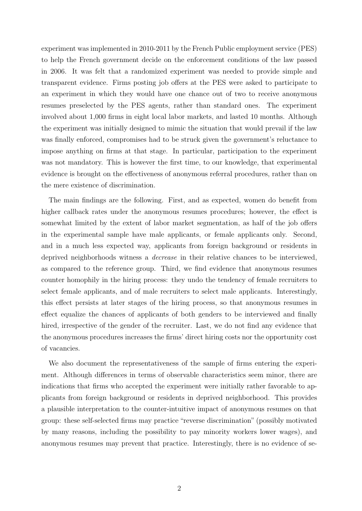experiment was implemented in 2010-2011 by the French Public employment service (PES) to help the French government decide on the enforcement conditions of the law passed in 2006. It was felt that a randomized experiment was needed to provide simple and transparent evidence. Firms posting job offers at the PES were asked to participate to an experiment in which they would have one chance out of two to receive anonymous resumes preselected by the PES agents, rather than standard ones. The experiment involved about 1,000 firms in eight local labor markets, and lasted 10 months. Although the experiment was initially designed to mimic the situation that would prevail if the law was finally enforced, compromises had to be struck given the government's reluctance to impose anything on firms at that stage. In particular, participation to the experiment was not mandatory. This is however the first time, to our knowledge, that experimental evidence is brought on the effectiveness of anonymous referral procedures, rather than on the mere existence of discrimination.

The main findings are the following. First, and as expected, women do benefit from higher callback rates under the anonymous resumes procedures; however, the effect is somewhat limited by the extent of labor market segmentation, as half of the job offers in the experimental sample have male applicants, or female applicants only. Second, and in a much less expected way, applicants from foreign background or residents in deprived neighborhoods witness a *decrease* in their relative chances to be interviewed, as compared to the reference group. Third, we find evidence that anonymous resumes counter homophily in the hiring process: they undo the tendency of female recruiters to select female applicants, and of male recruiters to select male applicants. Interestingly, this effect persists at later stages of the hiring process, so that anonymous resumes in effect equalize the chances of applicants of both genders to be interviewed and finally hired, irrespective of the gender of the recruiter. Last, we do not find any evidence that the anonymous procedures increases the firms' direct hiring costs nor the opportunity cost of vacancies.

We also document the representativeness of the sample of firms entering the experiment. Although differences in terms of observable characteristics seem minor, there are indications that firms who accepted the experiment were initially rather favorable to applicants from foreign background or residents in deprived neighborhood. This provides a plausible interpretation to the counter-intuitive impact of anonymous resumes on that group: these self-selected firms may practice "reverse discrimination" (possibly motivated by many reasons, including the possibility to pay minority workers lower wages), and anonymous resumes may prevent that practice. Interestingly, there is no evidence of se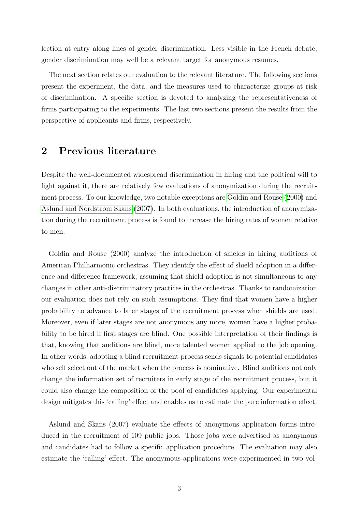lection at entry along lines of gender discrimination. Less visible in the French debate, gender discrimination may well be a relevant target for anonymous resumes.

The next section relates our evaluation to the relevant literature. The following sections present the experiment, the data, and the measures used to characterize groups at risk of discrimination. A specific section is devoted to analyzing the representativeness of firms participating to the experiments. The last two sections present the results from the perspective of applicants and firms, respectively.

### 2 Previous literature

Despite the well-documented widespread discrimination in hiring and the political will to fight against it, there are relatively few evaluations of anonymization during the recruitment process. To our knowledge, two notable exceptions are [Goldin and Rouse](#page-27-1) [\(2000\)](#page-27-1) and [Aslund and Nordstrom Skans](#page-27-2) [\(2007\)](#page-27-2). In both evaluations, the introduction of anonymization during the recruitment process is found to increase the hiring rates of women relative to men.

Goldin and Rouse (2000) analyze the introduction of shields in hiring auditions of American Philharmonic orchestras. They identify the effect of shield adoption in a difference and difference framework, assuming that shield adoption is not simultaneous to any changes in other anti-discriminatory practices in the orchestras. Thanks to randomization our evaluation does not rely on such assumptions. They find that women have a higher probability to advance to later stages of the recruitment process when shields are used. Moreover, even if later stages are not anonymous any more, women have a higher probability to be hired if first stages are blind. One possible interpretation of their findings is that, knowing that auditions are blind, more talented women applied to the job opening. In other words, adopting a blind recruitment process sends signals to potential candidates who self select out of the market when the process is nominative. Blind auditions not only change the information set of recruiters in early stage of the recruitment process, but it could also change the composition of the pool of candidates applying. Our experimental design mitigates this 'calling' effect and enables us to estimate the pure information effect.

Aslund and Skans (2007) evaluate the effects of anonymous application forms introduced in the recruitment of 109 public jobs. Those jobs were advertised as anonymous and candidates had to follow a specific application procedure. The evaluation may also estimate the 'calling' effect. The anonymous applications were experimented in two vol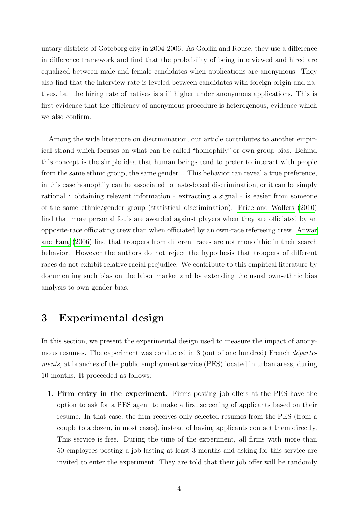untary districts of Goteborg city in 2004-2006. As Goldin and Rouse, they use a difference in difference framework and find that the probability of being interviewed and hired are equalized between male and female candidates when applications are anonymous. They also find that the interview rate is leveled between candidates with foreign origin and natives, but the hiring rate of natives is still higher under anonymous applications. This is first evidence that the efficiency of anonymous procedure is heterogenous, evidence which we also confirm.

Among the wide literature on discrimination, our article contributes to another empirical strand which focuses on what can be called "homophily" or own-group bias. Behind this concept is the simple idea that human beings tend to prefer to interact with people from the same ethnic group, the same gender... This behavior can reveal a true preference, in this case homophily can be associated to taste-based discrimination, or it can be simply rational : obtaining relevant information - extracting a signal - is easier from someone of the same ethnic/gender group (statistical discrimination). [Price and Wolfers](#page-27-3) [\(2010\)](#page-27-3) find that more personal fouls are awarded against players when they are officiated by an opposite-race officiating crew than when officiated by an own-race refereeing crew. [Anwar](#page-27-4) [and Fang](#page-27-4) [\(2006\)](#page-27-4) find that troopers from different races are not monolithic in their search behavior. However the authors do not reject the hypothesis that troopers of different races do not exhibit relative racial prejudice. We contribute to this empirical literature by documenting such bias on the labor market and by extending the usual own-ethnic bias analysis to own-gender bias.

### <span id="page-4-0"></span>3 Experimental design

In this section, we present the experimental design used to measure the impact of anonymous resumes. The experiment was conducted in  $8$  (out of one hundred) French *départe*ments, at branches of the public employment service (PES) located in urban areas, during 10 months. It proceeded as follows:

1. Firm entry in the experiment. Firms posting job offers at the PES have the option to ask for a PES agent to make a first screening of applicants based on their resume. In that case, the firm receives only selected resumes from the PES (from a couple to a dozen, in most cases), instead of having applicants contact them directly. This service is free. During the time of the experiment, all firms with more than 50 employees posting a job lasting at least 3 months and asking for this service are invited to enter the experiment. They are told that their job offer will be randomly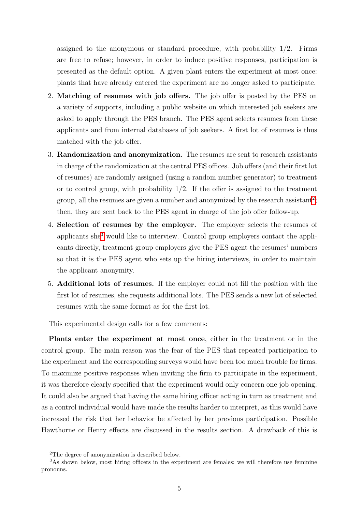assigned to the anonymous or standard procedure, with probability  $1/2$ . Firms are free to refuse; however, in order to induce positive responses, participation is presented as the default option. A given plant enters the experiment at most once: plants that have already entered the experiment are no longer asked to participate.

- 2. Matching of resumes with job offers. The job offer is posted by the PES on a variety of supports, including a public website on which interested job seekers are asked to apply through the PES branch. The PES agent selects resumes from these applicants and from internal databases of job seekers. A first lot of resumes is thus matched with the job offer.
- 3. Randomization and anonymization. The resumes are sent to research assistants in charge of the randomization at the central PES offices. Job offers (and their first lot of resumes) are randomly assigned (using a random number generator) to treatment or to control group, with probability  $1/2$ . If the offer is assigned to the treatment group, all the resumes are given a number and anonymized by the research assistant<sup>[2](#page-0-0)</sup>; then, they are sent back to the PES agent in charge of the job offer follow-up.
- 4. Selection of resumes by the employer. The employer selects the resumes of applicants she<sup>[3](#page-0-0)</sup> would like to interview. Control group employers contact the applicants directly, treatment group employers give the PES agent the resumes' numbers so that it is the PES agent who sets up the hiring interviews, in order to maintain the applicant anonymity.
- 5. Additional lots of resumes. If the employer could not fill the position with the first lot of resumes, she requests additional lots. The PES sends a new lot of selected resumes with the same format as for the first lot.

This experimental design calls for a few comments:

Plants enter the experiment at most once, either in the treatment or in the control group. The main reason was the fear of the PES that repeated participation to the experiment and the corresponding surveys would have been too much trouble for firms. To maximize positive responses when inviting the firm to participate in the experiment, it was therefore clearly specified that the experiment would only concern one job opening. It could also be argued that having the same hiring officer acting in turn as treatment and as a control individual would have made the results harder to interpret, as this would have increased the risk that her behavior be affected by her previous participation. Possible Hawthorne or Henry effects are discussed in the results section. A drawback of this is

<sup>2</sup>The degree of anonymization is described below.

<sup>&</sup>lt;sup>3</sup>As shown below, most hiring officers in the experiment are females; we will therefore use feminine pronouns.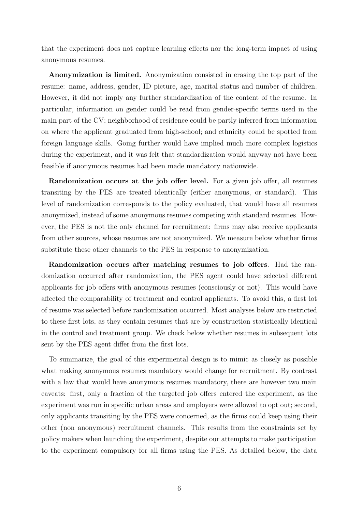that the experiment does not capture learning effects nor the long-term impact of using anonymous resumes.

Anonymization is limited. Anonymization consisted in erasing the top part of the resume: name, address, gender, ID picture, age, marital status and number of children. However, it did not imply any further standardization of the content of the resume. In particular, information on gender could be read from gender-specific terms used in the main part of the CV; neighborhood of residence could be partly inferred from information on where the applicant graduated from high-school; and ethnicity could be spotted from foreign language skills. Going further would have implied much more complex logistics during the experiment, and it was felt that standardization would anyway not have been feasible if anonymous resumes had been made mandatory nationwide.

Randomization occurs at the job offer level. For a given job offer, all resumes transiting by the PES are treated identically (either anonymous, or standard). This level of randomization corresponds to the policy evaluated, that would have all resumes anonymized, instead of some anonymous resumes competing with standard resumes. However, the PES is not the only channel for recruitment: firms may also receive applicants from other sources, whose resumes are not anonymized. We measure below whether firms substitute these other channels to the PES in response to anonymization.

Randomization occurs after matching resumes to job offers. Had the randomization occurred after randomization, the PES agent could have selected different applicants for job offers with anonymous resumes (consciously or not). This would have affected the comparability of treatment and control applicants. To avoid this, a first lot of resume was selected before randomization occurred. Most analyses below are restricted to these first lots, as they contain resumes that are by construction statistically identical in the control and treatment group. We check below whether resumes in subsequent lots sent by the PES agent differ from the first lots.

To summarize, the goal of this experimental design is to mimic as closely as possible what making anonymous resumes mandatory would change for recruitment. By contrast with a law that would have anonymous resumes mandatory, there are however two main caveats: first, only a fraction of the targeted job offers entered the experiment, as the experiment was run in specific urban areas and employers were allowed to opt out; second, only applicants transiting by the PES were concerned, as the firms could keep using their other (non anonymous) recruitment channels. This results from the constraints set by policy makers when launching the experiment, despite our attempts to make participation to the experiment compulsory for all firms using the PES. As detailed below, the data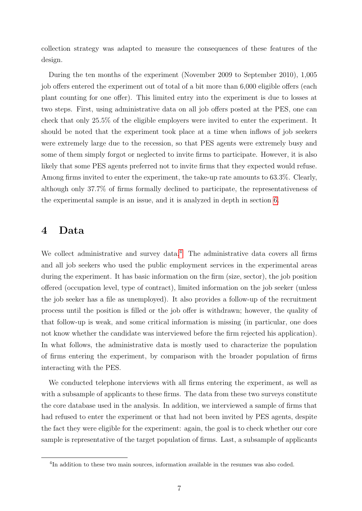collection strategy was adapted to measure the consequences of these features of the design.

During the ten months of the experiment (November 2009 to September 2010), 1,005 job offers entered the experiment out of total of a bit more than 6,000 eligible offers (each plant counting for one offer). This limited entry into the experiment is due to losses at two steps. First, using administrative data on all job offers posted at the PES, one can check that only 25.5% of the eligible employers were invited to enter the experiment. It should be noted that the experiment took place at a time when inflows of job seekers were extremely large due to the recession, so that PES agents were extremely busy and some of them simply forgot or neglected to invite firms to participate. However, it is also likely that some PES agents preferred not to invite firms that they expected would refuse. Among firms invited to enter the experiment, the take-up rate amounts to 63.3%. Clearly, although only 37.7% of firms formally declined to participate, the representativeness of the experimental sample is an issue, and it is analyzed in depth in section [6.](#page-11-0)

### 4 Data

We collect administrative and survey data. $4$  The administrative data covers all firms and all job seekers who used the public employment services in the experimental areas during the experiment. It has basic information on the firm (size, sector), the job position offered (occupation level, type of contract), limited information on the job seeker (unless the job seeker has a file as unemployed). It also provides a follow-up of the recruitment process until the position is filled or the job offer is withdrawn; however, the quality of that follow-up is weak, and some critical information is missing (in particular, one does not know whether the candidate was interviewed before the firm rejected his application). In what follows, the administrative data is mostly used to characterize the population of firms entering the experiment, by comparison with the broader population of firms interacting with the PES.

We conducted telephone interviews with all firms entering the experiment, as well as with a subsample of applicants to these firms. The data from these two surveys constitute the core database used in the analysis. In addition, we interviewed a sample of firms that had refused to enter the experiment or that had not been invited by PES agents, despite the fact they were eligible for the experiment: again, the goal is to check whether our core sample is representative of the target population of firms. Last, a subsample of applicants

<sup>&</sup>lt;sup>4</sup>In addition to these two main sources, information available in the resumes was also coded.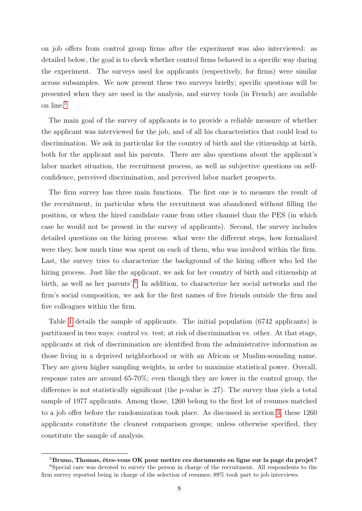on job offers from control group firms after the experiment was also interviewed: as detailed below, the goal is to check whether control firms behaved in a specific way during the experiment. The surveys used for applicants (respectively, for firms) were similar across subsamples. We now present these two surveys briefly; specific questions will be presented when they are used in the analysis, and survey tools (in French) are available on line.[5](#page-0-0)

The main goal of the survey of applicants is to provide a reliable measure of whether the applicant was interviewed for the job, and of all his characteristics that could lead to discrimination. We ask in particular for the country of birth and the citizenship at birth, both for the applicant and his parents. There are also questions about the applicant's labor market situation, the recruitment process, as well as subjective questions on selfconfidence, perceived discrimination, and perceived labor market prospects.

The firm survey has three main functions. The first one is to measure the result of the recruitment, in particular when the recruitment was abandoned without filling the position, or when the hired candidate came from other channel than the PES (in which case he would not be present in the survey of applicants). Second, the survey includes detailed questions on the hiring process: what were the different steps, how formalized were they, how much time was spent on each of them, who was involved within the firm. Last, the survey tries to characterize the background of the hiring officer who led the hiring process. Just like the applicant, we ask for her country of birth and citizenship at birth, as well as her parents'.<sup>[6](#page-0-0)</sup> In addition, to characterize her social networks and the firm's social composition, we ask for the first names of five friends outside the firm and five colleagues within the firm.

Table [1](#page-28-0) details the sample of applicants. The initial population (6742 applicants) is partitioned in two ways: control vs. test; at risk of discrimination vs. other. At that stage, applicants at risk of discrimination are identified from the administrative information as those living in a deprived neighborhood or with an African or Muslim-sounding name. They are given higher sampling weights, in order to maximize statistical power. Overall, response rates are around 65-70%; even though they are lower in the control group, the difference is not statistically significant (the p-value is .27). The survey thus yiels a total sample of 1977 applicants. Among those, 1260 belong to the first lot of resumes matched to a job offer before the randomization took place. As discussed in section [3,](#page-4-0) these 1260 applicants constitute the cleanest comparison groups; unless otherwise specified, they constitute the sample of analysis.

 ${}^{5}$ Bruno, Thomas, êtes-vous OK pour mettre ces documents en ligne sur la page du projet? <sup>6</sup>Special care was devoted to survey the person in charge of the recruitment. All respondents to the firm survey reported being in charge of the selection of resumes; 89% took part to job interviews.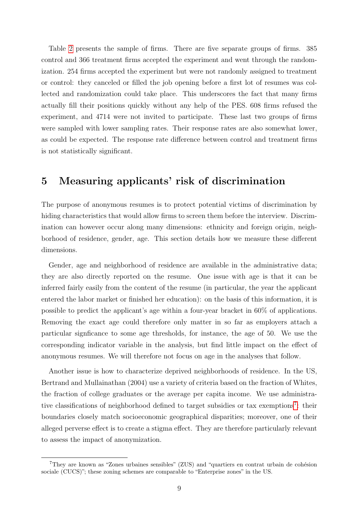Table [2](#page-29-0) presents the sample of firms. There are five separate groups of firms. 385 control and 366 treatment firms accepted the experiment and went through the randomization. 254 firms accepted the experiment but were not randomly assigned to treatment or control: they canceled or filled the job opening before a first lot of resumes was collected and randomization could take place. This underscores the fact that many firms actually fill their positions quickly without any help of the PES. 608 firms refused the experiment, and 4714 were not invited to participate. These last two groups of firms were sampled with lower sampling rates. Their response rates are also somewhat lower, as could be expected. The response rate difference between control and treatment firms is not statistically significant.

### 5 Measuring applicants' risk of discrimination

The purpose of anonymous resumes is to protect potential victims of discrimination by hiding characteristics that would allow firms to screen them before the interview. Discrimination can however occur along many dimensions: ethnicity and foreign origin, neighborhood of residence, gender, age. This section details how we measure these different dimensions.

Gender, age and neighborhood of residence are available in the administrative data; they are also directly reported on the resume. One issue with age is that it can be inferred fairly easily from the content of the resume (in particular, the year the applicant entered the labor market or finished her education): on the basis of this information, it is possible to predict the applicant's age within a four-year bracket in 60% of applications. Removing the exact age could therefore only matter in so far as employers attach a particular signficance to some age thresholds, for instance, the age of 50. We use the corresponding indicator variable in the analysis, but find little impact on the effect of anonymous resumes. We will therefore not focus on age in the analyses that follow.

Another issue is how to characterize deprived neighborhoods of residence. In the US, Bertrand and Mullainathan (2004) use a variety of criteria based on the fraction of Whites, the fraction of college graduates or the average per capita income. We use administra-tive classifications of neighborhood defined to target subsidies or tax exemptions<sup>[7](#page-0-0)</sup>: their boundaries closely match socioeconomic geographical disparities; moreover, one of their alleged perverse effect is to create a stigma effect. They are therefore particularly relevant to assess the impact of anonymization.

 $7$ They are known as "Zones urbaines sensibles" (ZUS) and "quartiers en contrat urbain de cohésion sociale (CUCS)"; these zoning schemes are comparable to "Enterprise zones" in the US.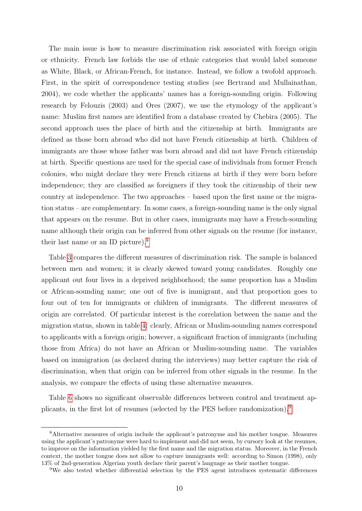The main issue is how to measure discrimination risk associated with foreign origin or ethnicity. French law forbids the use of ethnic categories that would label someone as White, Black, or African-French, for instance. Instead, we follow a twofold approach. First, in the spirit of correspondence testing studies (see Bertrand and Mullainathan, 2004), we code whether the applicants' names has a foreign-sounding origin. Following research by Felouzis (2003) and Ores (2007), we use the etymology of the applicant's name: Muslim first names are identified from a database created by Chebira (2005). The second approach uses the place of birth and the citizenship at birth. Immigrants are defined as those born abroad who did not have French citizenship at birth. Children of immigrants are those whose father was born abroad and did not have French citizenship at birth. Specific questions are used for the special case of individuals from former French colonies, who might declare they were French citizens at birth if they were born before independence; they are classified as foreigners if they took the citizenship of their new country at independence. The two approaches – based upon the first name or the migration status – are complementary. In some cases, a foreign-sounding name is the only signal that appears on the resume. But in other cases, immigrants may have a French-sounding name although their origin can be inferred from other signals on the resume (for instance, their last name or an ID picture).[8](#page-0-0)

Table [3](#page-30-0) compares the different measures of discrimination risk. The sample is balanced between men and women; it is clearly skewed toward young candidates. Roughly one applicant out four lives in a deprived neighborhood; the same proportion has a Muslim or African-sounding name; one out of five is immigrant, and that proportion goes to four out of ten for immigrants or children of immigrants. The different measures of origin are correlated. Of particular interest is the correlation between the name and the migration status, shown in table [4:](#page-31-0) clearly, African or Muslim-sounding names correspond to applicants with a foreign origin; however, a significant fraction of immigrants (including those from Africa) do not have an African or Muslim-sounding name. The variables based on immigration (as declared during the interviews) may better capture the risk of discrimination, when that origin can be inferred from other signals in the resume. In the analysis, we compare the effects of using these alternative measures.

Table [6](#page-33-0) shows no significant observable differences between control and treatment applicants, in the first lot of resumes (selected by the PES before randomization).[9](#page-0-0)

<sup>8</sup>Alternative measures of origin include the applicant's patronyme and his mother tongue. Measures using the applicant's patronyme were hard to implement and did not seem, by cursory look at the resumes, to improve on the information yielded by the first name and the migration status. Moreover, in the French context, the mother tongue does not allow to capture immigrants well: according to Simon (1998), only 13% of 2nd-generation Algerian youth declare their parent's language as their mother tongue.

<sup>9</sup>We also tested whether differential selection by the PES agent introduces systematic differences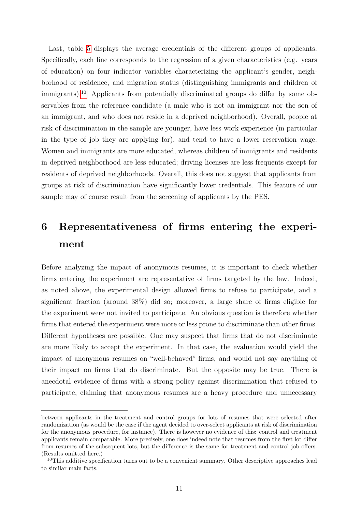Last, table [5](#page-32-0) displays the average credentials of the different groups of applicants. Specifically, each line corresponds to the regression of a given characteristics (e.g. years of education) on four indicator variables characterizing the applicant's gender, neighborhood of residence, and migration status (distinguishing immigrants and children of immigrants).[10](#page-0-0) Applicants from potentially discriminated groups do differ by some observables from the reference candidate (a male who is not an immigrant nor the son of an immigrant, and who does not reside in a deprived neighborhood). Overall, people at risk of discrimination in the sample are younger, have less work experience (in particular in the type of job they are applying for), and tend to have a lower reservation wage. Women and immigrants are more educated, whereas children of immigrants and residents in deprived neighborhood are less educated; driving licenses are less frequents except for residents of deprived neighborhoods. Overall, this does not suggest that applicants from groups at risk of discrimination have significantly lower credentials. This feature of our sample may of course result from the screening of applicants by the PES.

## <span id="page-11-0"></span>6 Representativeness of firms entering the experiment

Before analyzing the impact of anonymous resumes, it is important to check whether firms entering the experiment are representative of firms targeted by the law. Indeed, as noted above, the experimental design allowed firms to refuse to participate, and a significant fraction (around 38%) did so; moreover, a large share of firms eligible for the experiment were not invited to participate. An obvious question is therefore whether firms that entered the experiment were more or less prone to discriminate than other firms. Different hypotheses are possible. One may suspect that firms that do not discriminate are more likely to accept the experiment. In that case, the evaluation would yield the impact of anonymous resumes on "well-behaved" firms, and would not say anything of their impact on firms that do discriminate. But the opposite may be true. There is anecdotal evidence of firms with a strong policy against discrimination that refused to participate, claiming that anonymous resumes are a heavy procedure and unnecessary

between applicants in the treatment and control groups for lots of resumes that were selected after randomization (as would be the case if the agent decided to over-select applicants at risk of discrimination for the anonymous procedure, for instance). There is however no evidence of this: control and treatment applicants remain comparable. More precisely, one does indeed note that resumes from the first lot differ from resumes of the subsequent lots, but the difference is the same for treatment and control job offers. (Results omitted here.)

 $10$ This additive specification turns out to be a convenient summary. Other descriptive approaches lead to similar main facts.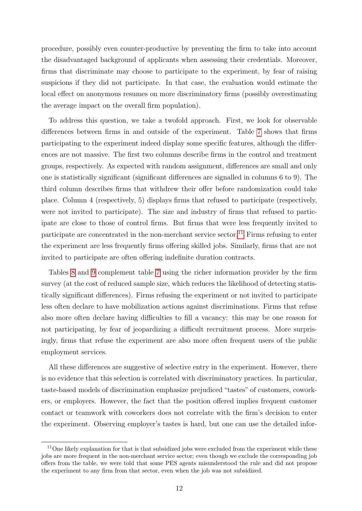procedure, possibly even counter-productive by preventing the firm to take into account the disadvantaged background of applicants when assessing their credentials. Moreover, firms that discriminate may choose to participate to the experiment, by fear of raising suspicions if they did not participate. In that case, the evaluation would estimate the local effect on anonymous resumes on more discriminatory firms (possibly overestimating the average impact on the overall firm population).

To address this question, we take a twofold approach. First, we look for observable differences between firms in and outside of the experiment. Table [7](#page-34-0) shows that firms participating to the experiment indeed display some specific features, although the differences are not massive. The first two columns describe firms in the control and treatment groups, respectively. As expected with random assignment, differences are small and only one is statistically significant (significant differences are signalled in columns 6 to 9). The third column describes firms that withdrew their offer before randomization could take place. Column 4 (respectively, 5) displays firms that refused to participate (respectively, were not invited to participate). The size and industry of firms that refused to participate are close to those of control firms. But firms that were less frequently invited to participate are concentrated in the non-merchant service sector.<sup>[11](#page-0-0)</sup> Firms refusing to enter the experiment are less frequently firms offering skilled jobs. Similarly, firms that are not invited to participate are often offering indefinite duration contracts.

Tables [8](#page-35-0) and [9](#page-36-0) complement table [7](#page-34-0) using the richer information provider by the firm survey (at the cost of reduced sample size, which reduces the likelihood of detecting statistically significant differences). Firms refusing the experiment or not invited to participate less often declare to have mobilization actions against discriminations. Firms that refuse also more often declare having difficulties to fill a vacancy: this may be one reason for not participating, by fear of jeopardizing a difficult recruitment process. More surprisingly, firms that refuse the experiment are also more often frequent users of the public employment services.

All these differences are suggestive of selective entry in the experiment. However, there is no evidence that this selection is correlated with discriminatory practices. In particular, taste-based models of discrimination emphasize prejudiced "tastes" of customers, coworkers, or employers. However, the fact that the position offered implies frequent customer contact or teamwork with coworkers does not correlate with the firm's decision to enter the experiment. Observing employer's tastes is hard, but one can use the detailed infor-

<sup>&</sup>lt;sup>11</sup>One likely explanation for that is that subsidized jobs were excluded from the experiment while these jobs are more frequent in the non-merchant service sector; even though we exclude the corresponding job offers from the table, we were told that some PES agents misunderstood the rule and did not propose the experiment to any firm from that sector, even when the job was not subsidized.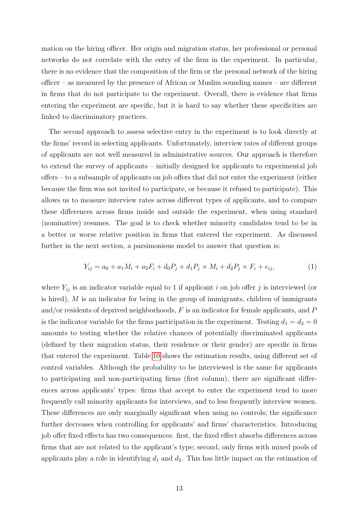mation on the hiring officer. Her origin and migration status, her professional or personal networks do not correlate with the entry of the firm in the experiment. In particular, there is no evidence that the composition of the firm or the personal network of the hiring officer – as measured by the presence of African or Muslim sounding names – are different in firms that do not participate to the experiment. Overall, there is evidence that firms entering the experiment are specific, but it is hard to say whether these specificities are linked to discriminatory practices.

The second approach to assess selective entry in the experiment is to look directly at the firms' record in selecting applicants. Unfortunately, interview rates of different groups of applicants are not well measured in administrative sources. Our approach is therefore to extend the survey of applicants – initially designed for applicants to experimental job offers – to a subsample of applicants on job offers that did not enter the experiment (either because the firm was not invited to participate, or because it refused to participate). This allows us to measure interview rates across different types of applicants, and to compare these differences across firms inside and outside the experiment, when using standard (nominative) resumes. The goal is to check whether minority candidates tend to be in a better or worse relative position in firms that entered the experiment. As discussed further in the next section, a parsimonious model to answer that question is:

$$
Y_{ij} = a_0 + a_1 M_i + a_2 F_i + d_0 P_j + d_1 P_j \times M_i + d_2 P_j \times F_i + e_{ij},
$$
\n(1)

where  $Y_{ij}$  is an indicator variable equal to 1 if applicant i on job offer j is interviewed (or is hired),  $M$  is an indicator for being in the group of immigrants, children of immigrants and/or residents of deprived neighborhoods,  $F$  is an indicator for female applicants, and  $P$ is the indicator variable for the firms participation in the experiment. Testing  $d_1 = d_2 = 0$ amounts to testing whether the relative chances of potentially discriminated applicants (defined by their migration status, their residence or their gender) are specific in firms that entered the experiment. Table [10](#page-37-0) shows the estimation results, using different set of control variables. Although the probability to be interviewed is the same for applicants to participating and non-participating firms (first column), there are significant differences across applicants' types: firms that accept to enter the experiment tend to more frequently call minority applicants for interviews, and to less frequently interview women. These differences are only marginally significant when using no controls; the significance further decreases when controlling for applicants' and firms' characteristics. Introducing job offer fixed effects has two consequences: first, the fixed effect absorbs differences across firms that are not related to the applicant's type; second, only firms with mixed pools of applicants play a role in identifying  $d_1$  and  $d_2$ . This has little impact on the estimation of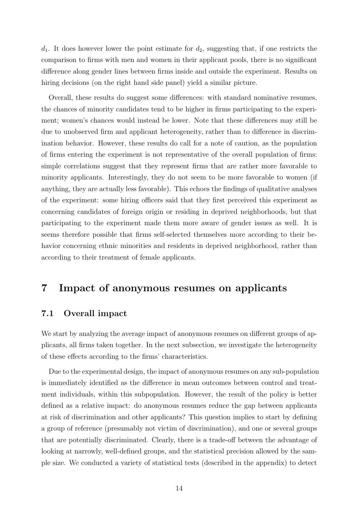$d_1$ . It does however lower the point estimate for  $d_2$ , suggesting that, if one restricts the comparison to firms with men and women in their applicant pools, there is no significant difference along gender lines between firms inside and outside the experiment. Results on hiring decisions (on the right hand side panel) yield a similar picture.

Overall, these results do suggest some differences: with standard nominative resumes, the chances of minority candidates tend to be higher in firms participating to the experiment; women's chances would instead be lower. Note that these differences may still be due to unobserved firm and applicant heterogeneity, rather than to difference in discrimination behavior. However, these results do call for a note of caution, as the population of firms entering the experiment is not representative of the overall population of firms: simple correlations suggest that they represent firms that are rather more favorable to minority applicants. Interestingly, they do not seem to be more favorable to women (if anything, they are actually less favorable). This echoes the findings of qualitative analyses of the experiment: some hiring officers said that they first perceived this experiment as concerning candidates of foreign origin or residing in deprived neighborhoods, but that participating to the experiment made them more aware of gender issues as well. It is seems therefore possible that firms self-selected themselves more according to their behavior concerning ethnic minorities and residents in deprived neighborhood, rather than according to their treatment of female applicants.

### 7 Impact of anonymous resumes on applicants

#### 7.1 Overall impact

We start by analyzing the average impact of anonymous resumes on different groups of applicants, all firms taken together. In the next subsection, we investigate the heterogeneity of these effects according to the firms' characteristics.

Due to the experimental design, the impact of anonymous resumes on any sub-population is immediately identified as the difference in mean outcomes between control and treatment individuals, within this subpopulation. However, the result of the policy is better defined as a relative impact: do anonymous resumes reduce the gap between applicants at risk of discrimination and other applicants? This question implies to start by defining a group of reference (presumably not victim of discrimination), and one or several groups that are potentially discriminated. Clearly, there is a trade-off between the advantage of looking at narrowly, well-defined groups, and the statistical precision allowed by the sample size. We conducted a variety of statistical tests (described in the appendix) to detect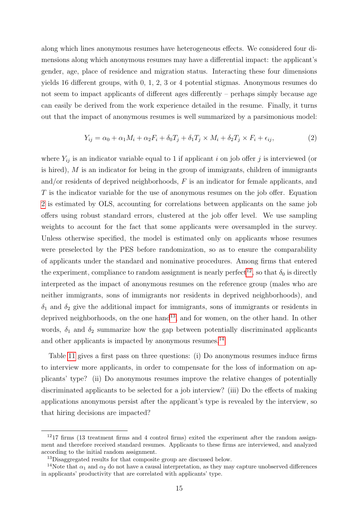along which lines anonymous resumes have heterogeneous effects. We considered four dimensions along which anonymous resumes may have a differential impact: the applicant's gender, age, place of residence and migration status. Interacting these four dimensions yields 16 different groups, with 0, 1, 2, 3 or 4 potential stigmas. Anonymous resumes do not seem to impact applicants of different ages differently – perhaps simply because age can easily be derived from the work experience detailed in the resume. Finally, it turns out that the impact of anonymous resumes is well summarized by a parsimonious model:

<span id="page-15-0"></span>
$$
Y_{ij} = \alpha_0 + \alpha_1 M_i + \alpha_2 F_i + \delta_0 T_j + \delta_1 T_j \times M_i + \delta_2 T_j \times F_i + \epsilon_{ij},\tag{2}
$$

where  $Y_{ij}$  is an indicator variable equal to 1 if applicant i on job offer j is interviewed (or is hired),  $M$  is an indicator for being in the group of immigrants, children of immigrants and/or residents of deprived neighborhoods,  $F$  is an indicator for female applicants, and T is the indicator variable for the use of anonymous resumes on the job offer. Equation [2](#page-15-0) is estimated by OLS, accounting for correlations between applicants on the same job offers using robust standard errors, clustered at the job offer level. We use sampling weights to account for the fact that some applicants were oversampled in the survey. Unless otherwise specified, the model is estimated only on applicants whose resumes were preselected by the PES before randomization, so as to ensure the comparability of applicants under the standard and nominative procedures. Among firms that entered the experiment, compliance to random assignment is nearly perfect<sup>[12](#page-0-0)</sup>, so that  $\delta_0$  is directly interpreted as the impact of anonymous resumes on the reference group (males who are neither immigrants, sons of immigrants nor residents in deprived neighborhoods), and  $\delta_1$  and  $\delta_2$  give the additional impact for immigrants, sons of immigrants or residents in deprived neighborhoods, on the one hand<sup>[13](#page-0-0)</sup>, and for women, on the other hand. In other words,  $\delta_1$  and  $\delta_2$  summarize how the gap between potentially discriminated applicants and other applicants is impacted by anonymous resumes.<sup>[14](#page-0-0)</sup>

Table [11](#page-38-0) gives a first pass on three questions: (i) Do anonymous resumes induce firms to interview more applicants, in order to compensate for the loss of information on applicants' type? (ii) Do anonymous resumes improve the relative changes of potentially discriminated applicants to be selected for a job interview? (iii) Do the effects of making applications anonymous persist after the applicant's type is revealed by the interview, so that hiring decisions are impacted?

 $1217$  firms (13 treatment firms and 4 control firms) exited the experiment after the random assignment and therefore received standard resumes. Applicants to these firms are interviewed, and analyzed according to the initial random assignment.

<sup>&</sup>lt;sup>13</sup>Disaggregated results for that composite group are discussed below.

<sup>&</sup>lt;sup>14</sup>Note that  $\alpha_1$  and  $\alpha_2$  do not have a causal interpretation, as they may capture unobserved differences in applicants' productivity that are correlated with applicants' type.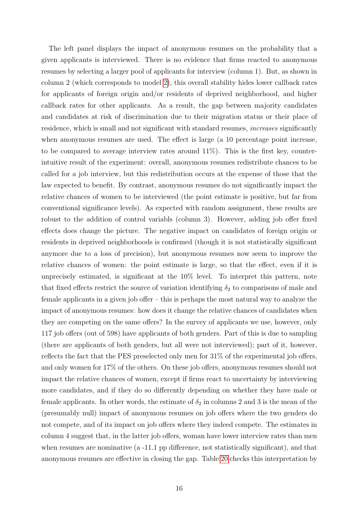The left panel displays the impact of anonymous resumes on the probability that a given applicants is interviewed. There is no evidence that firms reacted to anonymous resumes by selecting a larger pool of applicants for interview (column 1). But, as shown in column 2 (which corresponds to model [2\)](#page-15-0), this overall stability hides lower callback rates for applicants of foreign origin and/or residents of deprived neighborhood, and higher callback rates for other applicants. As a result, the gap between majority candidates and candidates at risk of discrimination due to their migration status or their place of residence, which is small and not significant with standard resumes, increases significantly when anonymous resumes are used. The effect is large (a 10 percentage point increase, to be compared to average interview rates around  $11\%$ ). This is the first key, counterintuitive result of the experiment: overall, anonymous resumes redistribute chances to be called for a job interview, but this redistribution occurs at the expense of those that the law expected to benefit. By contrast, anonymous resumes do not significantly impact the relative chances of women to be interviewed (the point estimate is positive, but far from conventional significance levels). As expected with random assignment, these results are robust to the addition of control variabls (column 3). However, adding job offer fixed effects does change the picture. The negative impact on candidates of foreign origin or residents in deprived neighborhoods is confirmed (though it is not statistically significant anymore due to a loss of precision), but anonymous resumes now seem to improve the relative chances of women: the point estimate is large, so that the effect, even if it is unprecisely estimated, is significant at the 10% level. To interpret this pattern, note that fixed effects restrict the source of variation identifying  $\delta_2$  to comparisons of male and female applicants in a given job offer – this is perhaps the most natural way to analyze the impact of anonymous resumes: how does it change the relative chances of candidates when they are competing on the same offers? In the survey of applicants we use, however, only 117 job offers (out of 598) have applicants of both genders. Part of this is due to sampling (there are applicants of both genders, but all were not interviewed); part of it, however, reflects the fact that the PES preselected only men for 31% of the experimental job offers, and only women for 17% of the others. On these job offers, anonymous resumes should not impact the relative chances of women, except if firms react to uncertainty by interviewing more candidates, and if they do so differently depending on whether they have male or female applicants. In other words, the estimate of  $\delta_2$  in columns 2 and 3 is the mean of the (presumably null) impact of anonymous resumes on job offers where the two genders do not compete, and of its impact on job offers where they indeed compete. The estimates in column 4 suggest that, in the latter job offers, woman have lower interview rates than men when resumes are nominative (a-11.1 pp difference, not statistically significant), and that anonymous resumes are effective in closing the gap. Table [20](#page-48-0) checks this interpretation by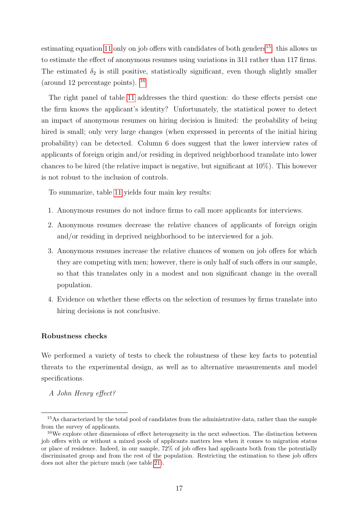estimating equation [11](#page-38-0) only on job offers with candidates of both genders<sup>[15](#page-0-0)</sup>: this allows us to estimate the effect of anonymous resumes using variations in 311 rather than 117 firms. The estimated  $\delta_2$  is still positive, statistically significant, even though slightly smaller (around 12 percentage points). [16](#page-0-0)

The right panel of table [11](#page-38-0) addresses the third question: do these effects persist one the firm knows the applicant's identity? Unfortunately, the statistical power to detect an impact of anonymous resumes on hiring decision is limited: the probability of being hired is small; only very large changes (when expressed in percents of the initial hiring probability) can be detected. Column 6 does suggest that the lower interview rates of applicants of foreign origin and/or residing in deprived neighborhood translate into lower chances to be hired (the relative impact is negative, but significant at 10%). This however is not robust to the inclusion of controls.

To summarize, table [11](#page-38-0) yields four main key results:

- 1. Anonymous resumes do not induce firms to call more applicants for interviews.
- 2. Anonymous resumes decrease the relative chances of applicants of foreign origin and/or residing in deprived neighborhood to be interviewed for a job.
- 3. Anonymous resumes increase the relative chances of women on job offers for which they are competing with men; however, there is only half of such offers in our sample, so that this translates only in a modest and non significant change in the overall population.
- 4. Evidence on whether these effects on the selection of resumes by firms translate into hiring decisions is not conclusive.

#### Robustness checks

We performed a variety of tests to check the robustness of these key facts to potential threats to the experimental design, as well as to alternative measurements and model specifications.

#### A John Henry effect?

<sup>15</sup>As characterized by the total pool of candidates from the administrative data, rather than the sample from the survey of applicants.

<sup>&</sup>lt;sup>16</sup>We explore other dimensions of effect heterogeneity in the next subsection. The distinction between job offers with or without a mixed pools of applicants matters less when it comes to migration status or place of residence. Indeed, in our sample, 72% of job offers had applicants both from the potentially discriminated group and from the rest of the population. Restricting the estimation to these job offers does not alter the picture much (see table [21\)](#page-49-0).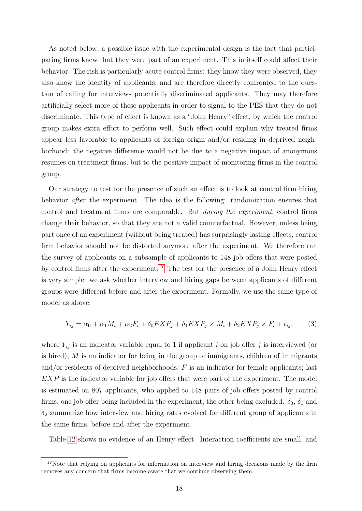As noted below, a possible issue with the experimental design is the fact that participating firms knew that they were part of an experiment. This in itself could affect their behavior. The risk is particularly acute control firms: they know they were observed, they also know the identity of applicants, and are therefore directly confronted to the question of calling for interviews potentially discriminated applicants. They may therefore artificially select more of these applicants in order to signal to the PES that they do not discriminate. This type of effect is known as a "John Henry" effect, by which the control group makes extra effort to perform well. Such effect could explain why treated firms appear less favorable to applicants of foreign origin and/or residing in deprived neighborhood: the negative difference would not be due to a negative impact of anonymous resumes on treatment firms, but to the positive impact of monitoring firms in the control group.

Our strategy to test for the presence of such an effect is to look at control firm hiring behavior after the experiment. The idea is the following: randomization ensures that control and treatment firms are comparable. But during the experiment, control firms change their behavior, so that they are not a valid counterfactual. However, unless being part once of an experiment (without being treated) has surprisingly lasting effects, control firm behavior should not be distorted anymore after the experiment. We therefore ran the survey of applicants on a subsample of applicants to 148 job offers that were posted by control firms after the experiment.[17](#page-0-0) The test for the presence of a John Henry effect is very simple: we ask whether interview and hiring gaps between applicants of different groups were different before and after the experiment. Formally, we use the same type of model as above:

$$
Y_{ij} = \alpha_0 + \alpha_1 M_i + \alpha_2 F_i + \delta_0 EXP_j + \delta_1 EXP_j \times M_i + \delta_2 EXP_j \times F_i + \epsilon_{ij},\tag{3}
$$

where  $Y_{ij}$  is an indicator variable equal to 1 if applicant i on job offer j is interviewed (or is hired),  $M$  is an indicator for being in the group of immigrants, children of immigrants and/or residents of deprived neighborhoods,  $F$  is an indicator for female applicants; last  $EXP$  is the indicator variable for job offers that were part of the experiment. The model is estimated on 807 applicants, who applied to 148 pairs of job offers posted by control firms, one job offer being included in the experiment, the other being excluded.  $\delta_0$ ,  $\delta_1$  and  $\delta_2$  summarize how interview and hiring rates evolved for different group of applicants in the same firms, before and after the experiment.

Table [12](#page-39-0) shows no evidence of an Henry effect. Interaction coefficients are small, and

<sup>&</sup>lt;sup>17</sup>Note that relying on applicants for information on interview and hiring decisions made by the firm removes any concern that firms become aware that we continue observing them.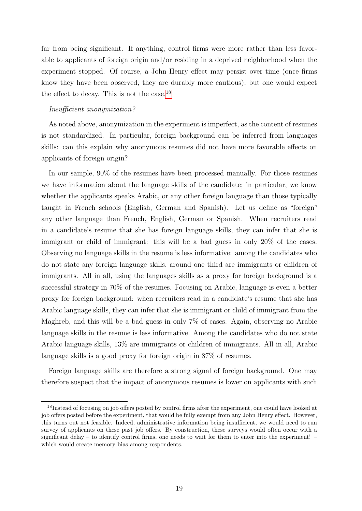far from being significant. If anything, control firms were more rather than less favorable to applicants of foreign origin and/or residing in a deprived neighborhood when the experiment stopped. Of course, a John Henry effect may persist over time (once firms know they have been observed, they are durably more cautious); but one would expect the effect to decay. This is not the case.[18](#page-0-0)

#### Insufficient anonymization?

As noted above, anonymization in the experiment is imperfect, as the content of resumes is not standardized. In particular, foreign background can be inferred from languages skills: can this explain why anonymous resumes did not have more favorable effects on applicants of foreign origin?

In our sample, 90% of the resumes have been processed manually. For those resumes we have information about the language skills of the candidate; in particular, we know whether the applicants speaks Arabic, or any other foreign language than those typically taught in French schools (English, German and Spanish). Let us define as "foreign" any other language than French, English, German or Spanish. When recruiters read in a candidate's resume that she has foreign language skills, they can infer that she is immigrant or child of immigrant: this will be a bad guess in only 20% of the cases. Observing no language skills in the resume is less informative: among the candidates who do not state any foreign language skills, around one third are immigrants or children of immigrants. All in all, using the languages skills as a proxy for foreign background is a successful strategy in 70% of the resumes. Focusing on Arabic, language is even a better proxy for foreign background: when recruiters read in a candidate's resume that she has Arabic language skills, they can infer that she is immigrant or child of immigrant from the Maghreb, and this will be a bad guess in only 7% of cases. Again, observing no Arabic language skills in the resume is less informative. Among the candidates who do not state Arabic language skills, 13% are immigrants or children of immigrants. All in all, Arabic language skills is a good proxy for foreign origin in 87% of resumes.

Foreign language skills are therefore a strong signal of foreign background. One may therefore suspect that the impact of anonymous resumes is lower on applicants with such

<sup>&</sup>lt;sup>18</sup>Instead of focusing on job offers posted by control firms after the experiment, one could have looked at job offers posted before the experiment, that would be fully exempt from any John Henry effect. However, this turns out not feasible. Indeed, administrative information being insufficient, we would need to run survey of applicants on these past job offers. By construction, these surveys would often occur with a significant delay – to identify control firms, one needs to wait for them to enter into the experiment! – which would create memory bias among respondents.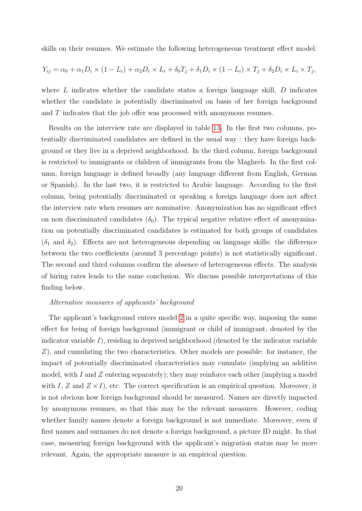skills on their resumes. We estimate the following heterogeneous treatment effect model:

$$
Y_{ij} = \alpha_0 + \alpha_1 D_i \times (1 - L_i) + \alpha_2 D_i \times L_i + \delta_0 T_j + \delta_1 D_i \times (1 - L_i) \times T_j + \delta_2 D_i \times L_i \times T_j,
$$

where  $L$  indicates whether the candidate states a foreign language skill,  $D$  indicates whether the candidate is potentially discriminated on basis of her foreign background and T indicates that the job offer was processed with anonymous resumes.

Results on the interview rate are displayed in table [13.](#page-40-0) In the first two columns, potentially discriminated candidates are defined in the usual way : they have foreign background or they live in a deprived neighborhood. In the third column, foreign background is restricted to immigrants or children of immigrants from the Maghreb. In the first column, foreign language is defined broadly (any language different from English, German or Spanish). In the last two, it is restricted to Arabic language. According to the first column, being potentially discriminated or speaking a foreign language does not affect the interview rate when resumes are nominative. Anonymization has no significant effect on non discriminated candidates  $(\delta_0)$ . The typical negative relative effect of anonymization on potentially discriminated candidates is estimated for both groups of candidates  $(\delta_1 \text{ and } \delta_2)$ . Effects are not heterogeneous depending on language skills: the difference between the two coefficients (around 3 percentage points) is not statistically significant. The second and third columns confirm the absence of heterogeneous effects. The analysis of hiring rates leads to the same conclusion. We discuss possible interpretations of this finding below.

#### Alternative measures of applicants' background

The applicant's background enters model [2](#page-15-0) in a quite specific way, imposing the same effect for being of foreign background (immigrant or child of immigrant, denoted by the indicator variable  $I$ ), residing in deprived neighborhood (denoted by the indicator variable Z), and cumulating the two characteristics. Other models are possible: for instance, the impact of potentially discriminated characteristics may cumulate (implying an additive model, with I and Z entering separately); they may reinforce each other (implying a model with I, Z and  $Z \times I$ ), etc. The correct specification is an empirical question. Moreover, it is not obvious how foreign background should be measured. Names are directly impacted by anonymous resumes, so that this may be the relevant measures. However, coding whether family names denote a foreign background is not immediate. Moreover, even if first names and surnames do not denote a foreign background, a picture ID might. In that case, measuring foreign background with the applicant's migration status may be more relevant. Again, the appropriate measure is an empirical question.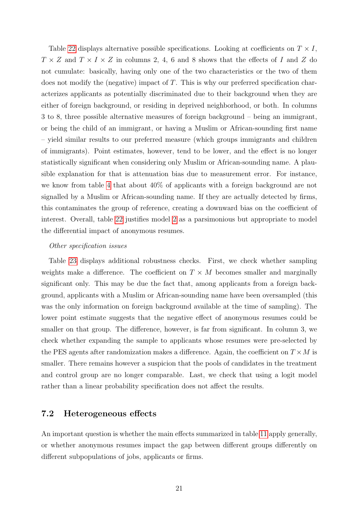Table [22](#page-50-0) displays alternative possible specifications. Looking at coefficients on  $T \times I$ ,  $T \times Z$  and  $T \times I \times Z$  in columns 2, 4, 6 and 8 shows that the effects of I and Z do not cumulate: basically, having only one of the two characteristics or the two of them does not modify the (negative) impact of  $T$ . This is why our preferred specification characterizes applicants as potentially discriminated due to their background when they are either of foreign background, or residing in deprived neighborhood, or both. In columns 3 to 8, three possible alternative measures of foreign background – being an immigrant, or being the child of an immigrant, or having a Muslim or African-sounding first name – yield similar results to our preferred measure (which groups immigrants and children of immigrants). Point estimates, however, tend to be lower, and the effect is no longer statistically significant when considering only Muslim or African-sounding name. A plausible explanation for that is attenuation bias due to measurement error. For instance, we know from table [4](#page-31-0) that about 40% of applicants with a foreign background are not signalled by a Muslim or African-sounding name. If they are actually detected by firms, this contaminates the group of reference, creating a downward bias on the coefficient of interest. Overall, table [22](#page-50-0) justifies model [2](#page-15-0) as a parsimonious but appropriate to model the differential impact of anonymous resumes.

#### Other specification issues

Table [23](#page-51-0) displays additional robustness checks. First, we check whether sampling weights make a difference. The coefficient on  $T \times M$  becomes smaller and marginally significant only. This may be due the fact that, among applicants from a foreign background, applicants with a Muslim or African-sounding name have been oversampled (this was the only information on foreign background available at the time of sampling). The lower point estimate suggests that the negative effect of anonymous resumes could be smaller on that group. The difference, however, is far from significant. In column 3, we check whether expanding the sample to applicants whose resumes were pre-selected by the PES agents after randomization makes a difference. Again, the coefficient on  $T \times M$  is smaller. There remains however a suspicion that the pools of candidates in the treatment and control group are no longer comparable. Last, we check that using a logit model rather than a linear probability specification does not affect the results.

#### 7.2 Heterogeneous effects

An important question is whether the main effects summarized in table [11](#page-38-0) apply generally, or whether anonymous resumes impact the gap between different groups differently on different subpopulations of jobs, applicants or firms.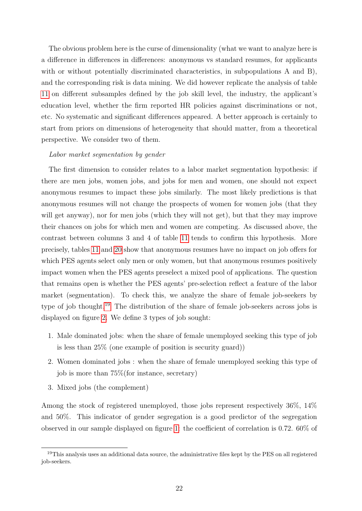The obvious problem here is the curse of dimensionality (what we want to analyze here is a difference in differences in differences: anonymous vs standard resumes, for applicants with or without potentially discriminated characteristics, in subpopulations A and B), and the corresponding risk is data mining. We did however replicate the analysis of table [11](#page-38-0) on different subsamples defined by the job skill level, the industry, the applicant's education level, whether the firm reported HR policies against discriminations or not, etc. No systematic and significant differences appeared. A better approach is certainly to start from priors on dimensions of heterogeneity that should matter, from a theoretical perspective. We consider two of them.

#### Labor market segmentation by gender

The first dimension to consider relates to a labor market segmentation hypothesis: if there are men jobs, women jobs, and jobs for men and women, one should not expect anonymous resumes to impact these jobs similarly. The most likely predictions is that anonymous resumes will not change the prospects of women for women jobs (that they will get anyway), nor for men jobs (which they will not get), but that they may improve their chances on jobs for which men and women are competing. As discussed above, the contrast between columns 3 and 4 of table [11](#page-38-0) tends to confirm this hypothesis. More precisely, tables [11](#page-38-0) and [20](#page-48-0) show that anonymous resumes have no impact on job offers for which PES agents select only men or only women, but that anonymous resumes positively impact women when the PES agents preselect a mixed pool of applications. The question that remains open is whether the PES agents' pre-selection reflect a feature of the labor market (segmentation). To check this, we analyze the share of female job-seekers by type of job thought.<sup>[19](#page-0-0)</sup> The distribution of the share of female job-seekers across jobs is displayed on figure [2.](#page-52-0) We define 3 types of job sought:

- 1. Male dominated jobs: when the share of female unemployed seeking this type of job is less than 25% (one example of position is security guard))
- 2. Women dominated jobs : when the share of female unemployed seeking this type of job is more than 75%(for instance, secretary)
- 3. Mixed jobs (the complement)

Among the stock of registered unemployed, those jobs represent respectively 36%, 14% and 50%. This indicator of gender segregation is a good predictor of the segregation observed in our sample displayed on figure [1:](#page-52-1) the coefficient of correlation is 0.72. 60% of

<sup>&</sup>lt;sup>19</sup>This analysis uses an additional data source, the administrative files kept by the PES on all registered job-seekers.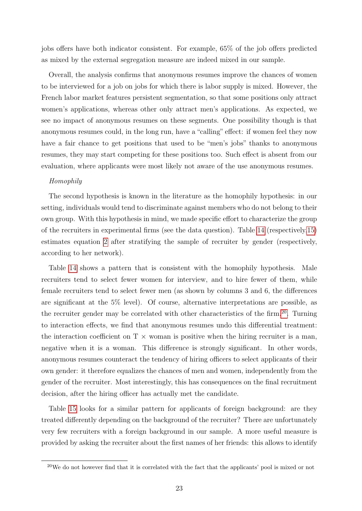jobs offers have both indicator consistent. For example, 65% of the job offers predicted as mixed by the external segregation measure are indeed mixed in our sample.

Overall, the analysis confirms that anonymous resumes improve the chances of women to be interviewed for a job on jobs for which there is labor supply is mixed. However, the French labor market features persistent segmentation, so that some positions only attract women's applications, whereas other only attract men's applications. As expected, we see no impact of anonymous resumes on these segments. One possibility though is that anonymous resumes could, in the long run, have a "calling" effect: if women feel they now have a fair chance to get positions that used to be "men's jobs" thanks to anonymous resumes, they may start competing for these positions too. Such effect is absent from our evaluation, where applicants were most likely not aware of the use anonymous resumes.

#### Homophily

The second hypothesis is known in the literature as the homophily hypothesis: in our setting, individuals would tend to discriminate against members who do not belong to their own group. With this hypothesis in mind, we made specific effort to characterize the group of the recruiters in experimental firms (see the data question). Table [14](#page-41-0) (respectively[,15\)](#page-42-0) estimates equation [2](#page-15-0) after stratifying the sample of recruiter by gender (respectively, according to her network).

Table [14](#page-41-0) shows a pattern that is consistent with the homophily hypothesis. Male recruiters tend to select fewer women for interview, and to hire fewer of them, while female recruiters tend to select fewer men (as shown by columns 3 and 6, the differences are significant at the 5% level). Of course, alternative interpretations are possible, as the recruiter gender may be correlated with other characteristics of the firm.<sup>[20](#page-0-0)</sup>. Turning to interaction effects, we find that anonymous resumes undo this differential treatment: the interaction coefficient on  $T \times$  woman is positive when the hiring recruiter is a man, negative when it is a woman. This difference is strongly significant. In other words, anonymous resumes counteract the tendency of hiring officers to select applicants of their own gender: it therefore equalizes the chances of men and women, independently from the gender of the recruiter. Most interestingly, this has consequences on the final recruitment decision, after the hiring officer has actually met the candidate.

Table [15](#page-42-0) looks for a similar pattern for applicants of foreign background: are they treated differently depending on the background of the recruiter? There are unfortunately very few recruiters with a foreign background in our sample. A more useful measure is provided by asking the recruiter about the first names of her friends: this allows to identify

<sup>20</sup>We do not however find that it is correlated with the fact that the applicants' pool is mixed or not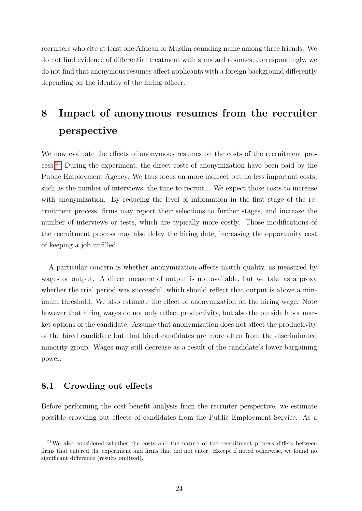recruiters who cite at least one African or Muslim-sounding name among three friends. We do not find evidence of differential treatment with standard resumes; correspondingly, we do not find that anonymous resumes affect applicants with a foreign background differently depending on the identity of the hiring officer.

## 8 Impact of anonymous resumes from the recruiter perspective

We now evaluate the effects of anonymous resumes on the costs of the recruitment process.[21](#page-0-0) During the experiment, the direct costs of anonymization have been paid by the Public Employment Agency. We thus focus on more indirect but no less important costs, such as the number of interviews, the time to recruit... We expect those costs to increase with anonymization. By reducing the level of information in the first stage of the recruitment process, firms may report their selections to further stages, and increase the number of interviews or tests, which are typically more costly. Those modifications of the recruitment process may also delay the hiring date, increasing the opportunity cost of keeping a job unfilled.

A particular concern is whether anonymization affects match quality, as measured by wages or output. A direct measure of output is not available, but we take as a proxy whether the trial period was successful, which should reflect that output is above a minimum threshold. We also estimate the effect of anonymization on the hiring wage. Note however that hiring wages do not only reflect productivity, but also the outside labor market options of the candidate. Assume that anonymization does not affect the productivity of the hired candidate but that hired candidates are more often from the discriminated minority group. Wages may still decrease as a result of the candidate's lower bargaining power.

#### 8.1 Crowding out effects

Before performing the cost benefit analysis from the recruiter perspective, we estimate possible crowding out effects of candidates from the Public Employment Service. As a

 $21$ We also considered whether the costs and the nature of the recruitment process differs between firms that entered the experiment and firms that did not enter. Except if noted otherwise, we found no significant difference (results omitted).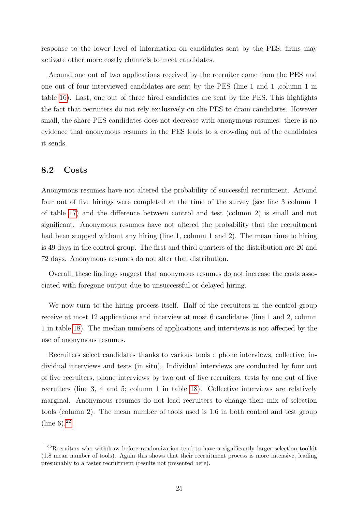response to the lower level of information on candidates sent by the PES, firms may activate other more costly channels to meet candidates.

Around one out of two applications received by the recruiter come from the PES and one out of four interviewed candidates are sent by the PES (line 1 and 1 ,column 1 in table [16\)](#page-43-0). Last, one out of three hired candidates are sent by the PES. This highlights the fact that recruiters do not rely exclusively on the PES to drain candidates. However small, the share PES candidates does not decrease with anonymous resumes: there is no evidence that anonymous resumes in the PES leads to a crowding out of the candidates it sends.

#### 8.2 Costs

Anonymous resumes have not altered the probability of successful recruitment. Around four out of five hirings were completed at the time of the survey (see line 3 column 1 of table [17\)](#page-44-0) and the difference between control and test (column 2) is small and not significant. Anonymous resumes have not altered the probability that the recruitment had been stopped without any hiring (line 1, column 1 and 2). The mean time to hiring is 49 days in the control group. The first and third quarters of the distribution are 20 and 72 days. Anonymous resumes do not alter that distribution.

Overall, these findings suggest that anonymous resumes do not increase the costs associated with foregone output due to unsuccessful or delayed hiring.

We now turn to the hiring process itself. Half of the recruiters in the control group receive at most 12 applications and interview at most 6 candidates (line 1 and 2, column 1 in table [18\)](#page-45-0). The median numbers of applications and interviews is not affected by the use of anonymous resumes.

Recruiters select candidates thanks to various tools : phone interviews, collective, individual interviews and tests (in situ). Individual interviews are conducted by four out of five recruiters, phone interviews by two out of five recruiters, tests by one out of five recruiters (line 3, 4 and 5; column 1 in table [18\)](#page-45-0). Collective interviews are relatively marginal. Anonymous resumes do not lead recruiters to change their mix of selection tools (column 2). The mean number of tools used is 1.6 in both control and test group (line 6). $^{22}$  $^{22}$  $^{22}$ 

<sup>&</sup>lt;sup>22</sup>Recruiters who withdraw before randomization tend to have a significantly larger selection toolkit (1.8 mean number of tools). Again this shows that their recruitment process is more intensive, leading presumably to a faster recruitment (results not presented here).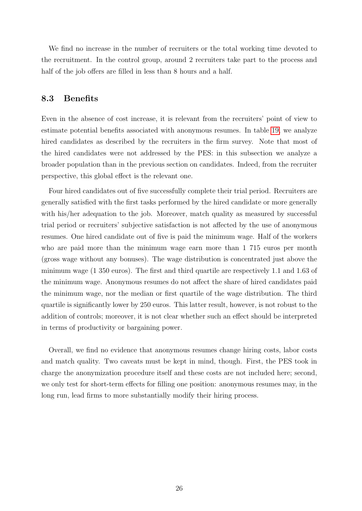We find no increase in the number of recruiters or the total working time devoted to the recruitment. In the control group, around 2 recruiters take part to the process and half of the job offers are filled in less than 8 hours and a half.

#### 8.3 Benefits

Even in the absence of cost increase, it is relevant from the recruiters' point of view to estimate potential benefits associated with anonymous resumes. In table [19,](#page-46-0) we analyze hired candidates as described by the recruiters in the firm survey. Note that most of the hired candidates were not addressed by the PES: in this subsection we analyze a broader population than in the previous section on candidates. Indeed, from the recruiter perspective, this global effect is the relevant one.

Four hired candidates out of five successfully complete their trial period. Recruiters are generally satisfied with the first tasks performed by the hired candidate or more generally with his/her adequation to the job. Moreover, match quality as measured by successful trial period or recruiters' subjective satisfaction is not affected by the use of anonymous resumes. One hired candidate out of five is paid the minimum wage. Half of the workers who are paid more than the minimum wage earn more than 1 715 euros per month (gross wage without any bonuses). The wage distribution is concentrated just above the minimum wage (1 350 euros). The first and third quartile are respectively 1.1 and 1.63 of the minimum wage. Anonymous resumes do not affect the share of hired candidates paid the minimum wage, nor the median or first quartile of the wage distribution. The third quartile is significantly lower by 250 euros. This latter result, however, is not robust to the addition of controls; moreover, it is not clear whether such an effect should be interpreted in terms of productivity or bargaining power.

Overall, we find no evidence that anonymous resumes change hiring costs, labor costs and match quality. Two caveats must be kept in mind, though. First, the PES took in charge the anonymization procedure itself and these costs are not included here; second, we only test for short-term effects for filling one position: anonymous resumes may, in the long run, lead firms to more substantially modify their hiring process.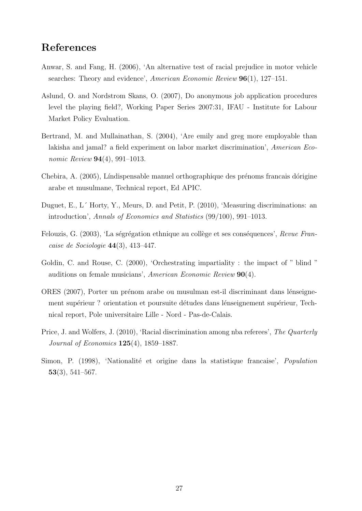### References

- <span id="page-27-4"></span>Anwar, S. and Fang, H. (2006), 'An alternative test of racial prejudice in motor vehicle searches: Theory and evidence', American Economic Review **96**(1), 127–151.
- <span id="page-27-2"></span>Aslund, O. and Nordstrom Skans, O. (2007), Do anonymous job application procedures level the playing field?, Working Paper Series 2007:31, IFAU - Institute for Labour Market Policy Evaluation.
- <span id="page-27-0"></span>Bertrand, M. and Mullainathan, S. (2004), 'Are emily and greg more employable than lakisha and jamal? a field experiment on labor market discrimination', American Economic Review **94**(4), 991-1013.
- Chebira, A. (2005), Líndispensable manuel orthographique des prénoms francais dórigine arabe et musulmane, Technical report, Ed APIC.
- Duguet, E., L´ Horty, Y., Meurs, D. and Petit, P. (2010), 'Measuring discriminations: an introduction', Annals of Economics and Statistics (99/100), 991–1013.
- Felouzis, G. (2003), 'La ségrégation ethnique au collège et ses conséquences', Revue Francaise de Sociologie 44(3), 413–447.
- <span id="page-27-1"></span>Goldin, C. and Rouse, C. (2000), 'Orchestrating impartiality : the impact of " blind " auditions on female musicians', American Economic Review 90(4).
- ORES (2007), Porter un prénom arabe ou musulman est-il discriminant dans lénseignement supérieur ? orientation et poursuite détudes dans lénseignement supérieur, Technical report, Pole universitaire Lille - Nord - Pas-de-Calais.
- <span id="page-27-3"></span>Price, J. and Wolfers, J. (2010), 'Racial discrimination among nba referees', The Quarterly Journal of Economics 125(4), 1859–1887.
- Simon, P. (1998), 'Nationalité et origine dans la statistique francaise', *Population* 53(3), 541–567.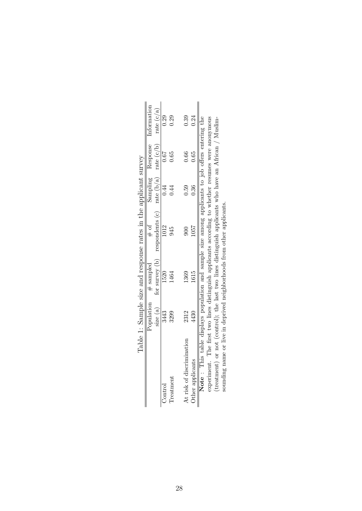<span id="page-28-0"></span>

|                                                                                                    | Population | $#$ sampled | $\overline{10}$ #                                                     |      |      | Sampling Response Information |
|----------------------------------------------------------------------------------------------------|------------|-------------|-----------------------------------------------------------------------|------|------|-------------------------------|
|                                                                                                    | size (a)   |             | for survey (b) respondents (c) rate $(b/a)$ rate $(c/b)$ rate $(c/a)$ |      |      |                               |
| Control                                                                                            | 3443       | 1520        | 1012                                                                  |      | 0.67 |                               |
| $\Gamma$ reat $\mathop{\rm mean}\nolimits$                                                         | 3299       |             | 945                                                                   |      | .65  |                               |
|                                                                                                    |            |             |                                                                       |      |      |                               |
| At risk of discrimination                                                                          | 2312       | 369         | 900                                                                   | 99.( | .66  | 0.39                          |
| Other applicants                                                                                   | 4430       | 1615        | 057                                                                   | 0.36 | 0.65 | .24                           |
| Note: This table displays population and sample size among applicants to job offers entering the   |            |             |                                                                       |      |      |                               |
| experiment. The first two lines distinguish applicants according to whether resumes were anonymous |            |             |                                                                       |      |      |                               |

| . Namne size and response rates in the applicant survey<br>i                                                            |  |
|-------------------------------------------------------------------------------------------------------------------------|--|
|                                                                                                                         |  |
|                                                                                                                         |  |
| TAN ATT ATT AND T                                                                                                       |  |
|                                                                                                                         |  |
| i<br>Sili                                                                                                               |  |
| ֦֧֦֧֦֧֦֧֦֧֦֧֦֧֦֧֦֧֦֧֦֧֦֧֦֧֦֧֦֧֦֧֦֧֦֧ׅ֧֧֧ׅ֧֧֧֧ׅ֧֛֧֧֧֧֧֧֧֧֧֧֧֧֧֧֧֧֧֧֧֧֛ׅ֪ׅ֧֛ׅ֛֧֛֛֛֛ׅ֛ׅ֛֚֚֚֚֚֚֚֚֚֚֚֚֚֚֚֡֕֘֝֘֝֬֝֜֓֜֓֜֓֜֜֜֜֜ |  |
|                                                                                                                         |  |
|                                                                                                                         |  |
| $\frac{1}{2}$<br>l                                                                                                      |  |

(treatment) or not (control); the last two lines distinguish applicants who have an African / Muslim-sounding name or live in deprived neighborhoods from other applicants. (treatment) or not (control); the last two lines distinguish applicants who have an African / Muslim- $\parallel$ 

sounding name or live in deprived neighborhoods from other applicants.

28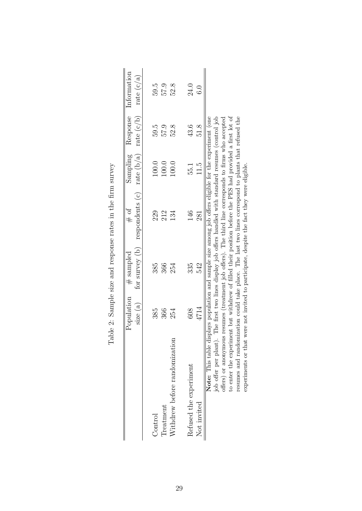<span id="page-29-0"></span>

|                                                                                                        |                          |             | Table 2: Sample size and response rates in the firm survey                                                                                                            |                        |              |                                      |
|--------------------------------------------------------------------------------------------------------|--------------------------|-------------|-----------------------------------------------------------------------------------------------------------------------------------------------------------------------|------------------------|--------------|--------------------------------------|
|                                                                                                        | Population<br>size $(a)$ | $#$ sampled | for survey $(b)$ respondents $(c)$<br>$\#$ of                                                                                                                         | rate (b/a)<br>Sampling | rate $(c/b)$ | Response Information<br>rate $(c/a)$ |
| Control                                                                                                | 385                      | 385         | 229                                                                                                                                                                   | 100.0                  | 59.5         | 59.5                                 |
| Treatment                                                                                              | 366                      | 366         | 212                                                                                                                                                                   | 100.0                  | 57.9         | 57.9                                 |
| Withdrew before randomization                                                                          | 254                      | 254         | 134                                                                                                                                                                   | 100.0                  | 52.8         | 52.8                                 |
| Refused the experiment                                                                                 | 608                      | 335         | 146                                                                                                                                                                   | 55.1                   | 43.6         | 24.0                                 |
| Not invited                                                                                            | 4714                     | 542         | 281                                                                                                                                                                   | 11.5                   | 51.8         | 6.0                                  |
| Note: This table displays population and sample size among job offers eligible for the experiment (one |                          |             |                                                                                                                                                                       |                        |              |                                      |
| $\operatorname{offers} )$ or anonymous<br>job offer per plant).                                        |                          |             | The first two lines display job offers handled with standard resumes (control job<br>resumes (treatment job offers). The third line corresponds to firms who accepted |                        |              |                                      |
|                                                                                                        |                          |             | to enter the experiment but withdrew of filled their position before the PES had provided a first lot of                                                              |                        |              |                                      |
| resumes and randomization could take place. The last two lines correspond to plants that refused the   |                          |             |                                                                                                                                                                       |                        |              |                                      |
| experiments or that                                                                                    |                          |             | were not invited to participate, despite the fact they were eligible.                                                                                                 |                        |              |                                      |

| しくりゅうし                                                                                 |
|----------------------------------------------------------------------------------------|
| $\tilde{ }$<br>i<br>I<br>Ó                                                             |
| ֧֧֧֧֧֧֧֧֧֦֧֦֧ׅ֧֧֧ׅ֧֛ׅ֧֛֧֧֧֧֧֧֛֚֚֚֚֚֚֚֚֚֚֚֚֚֚֚֚֚֚֚֚֚֚֝֝֓֕֝֓֝֓֝֬֝֓֝֬֝֓֜֓֝֬֝֬֜֓֜֓֝֬֝֬֝֬֝֬ |
| i                                                                                      |
|                                                                                        |
| that the common population in the though<br>ı                                          |
| l                                                                                      |
| I                                                                                      |
| I<br>ł<br>1<br>1<br>1<br>1<br>1<br>1<br>ì<br>j                                         |
|                                                                                        |
| $\frac{1}{2}$<br>ì                                                                     |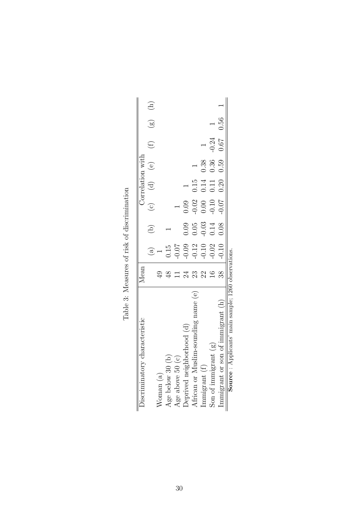<span id="page-30-0"></span>

| Discriminatory characteristic                         | Mean           |                                                                                              |                                                                     |                                                |         | Correlation with |                                                            |             |       |
|-------------------------------------------------------|----------------|----------------------------------------------------------------------------------------------|---------------------------------------------------------------------|------------------------------------------------|---------|------------------|------------------------------------------------------------|-------------|-------|
|                                                       |                | $\bigcirc$                                                                                   | G)                                                                  |                                                | (c) (d) | (e)              | $\left( \begin{smallmatrix} 1\ 1\end{smallmatrix} \right)$ | $\circledS$ | $\Xi$ |
| $N$ oman $\left( \mathrm{a}\right)$                   | ু<br>⊕         |                                                                                              |                                                                     |                                                |         |                  |                                                            |             |       |
| Age below $30$                                        | $\frac{8}{5}$  |                                                                                              |                                                                     |                                                |         |                  |                                                            |             |       |
| $\odot$<br>$\Delta$ ge above $50$                     |                |                                                                                              |                                                                     |                                                |         |                  |                                                            |             |       |
| hborhood (d)<br>Jeprived neig                         |                |                                                                                              |                                                                     |                                                |         |                  |                                                            |             |       |
| African or Muslim-sounding name (e)                   | 23<br>23<br>22 |                                                                                              |                                                                     |                                                |         |                  |                                                            |             |       |
| Immigrant (f)                                         |                | $\begin{array}{c} 0.15 \\ -0.07 \\ -0.09 \\ -0.12 \\ -0.02 \\ -0.02 \\ -0.10 \\ \end{array}$ | $\begin{array}{c} 0.09 \\ 0.05 \\ 0.03 \\ 0.14 \\ 0.08 \end{array}$ | $0.09$<br>$0.02$<br>$0.00$<br>$0.00$<br>$0.07$ |         | 0.38             |                                                            |             |       |
| $\text{ant}(\text{g})$<br>Son of immigr               | $\overline{6}$ |                                                                                              |                                                                     |                                                |         | 0.36             | $-0.24$<br>0.67                                            |             |       |
| son of immigrant (h)<br>Immigrant or                  | 38             |                                                                                              |                                                                     |                                                |         | 0.59             |                                                            | 0.56        |       |
| Applicants' main sample; 1260 observations<br>Source: |                |                                                                                              |                                                                     |                                                |         |                  |                                                            |             |       |

Table 3: Measures of risk of discrimination Table 3: Measures of risk of discrimination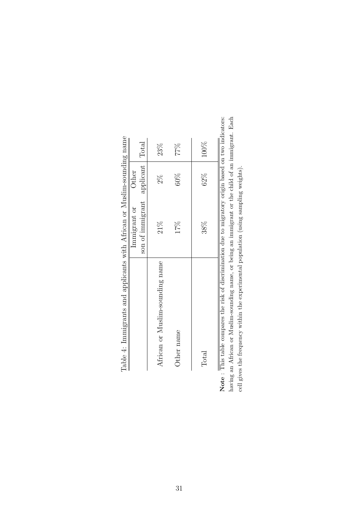| Table 4: Immigrants and applicants with African or Muslim-sounding name                      |                  |           |       |
|----------------------------------------------------------------------------------------------|------------------|-----------|-------|
|                                                                                              | Immigrant or     | Other     |       |
|                                                                                              | son of immigrant | applicant | Total |
| African or Muslim-sounding name                                                              | 21%              | $2\%$     | 23%   |
| Other name                                                                                   | 17%              | 60%       | 77%   |
|                                                                                              |                  |           |       |
| Total                                                                                        | 38%              | 62%       | 100%  |
| : This table compares the risk of discrimination due to migratory origin based on two indic- |                  |           |       |

<span id="page-31-0"></span>cators: **Note** : Lins table compares the risk of discrimination due to migratory origin based on two indicators:<br>having an African or Muslim-sounding name, or being an immigrant or the child of an immigrant. Each having an African or Muslim-sounding name, or being an immigrant or the child of an immigrant. Each Note : This table compares the risk of discrimination due to migratory origin based on two indicators: cell gives the frequency within the experimental population (using sampling weights). cell gives the frequency within the experimental population (using sampling weights). Note: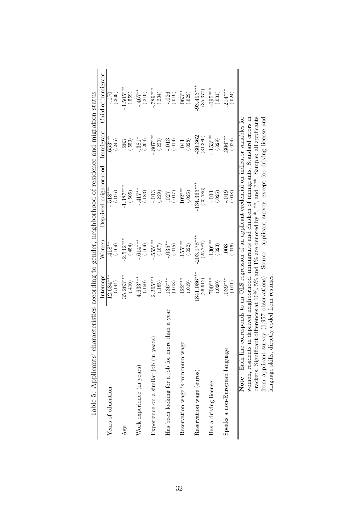<span id="page-32-0"></span>

| Table 5: Applicants' characteristics according to gender, neighborhood of residence and migration status                                                                                                                                                                                                                                                                                        |                       |                       |                                                                                              |                    |                      |
|-------------------------------------------------------------------------------------------------------------------------------------------------------------------------------------------------------------------------------------------------------------------------------------------------------------------------------------------------------------------------------------------------|-----------------------|-----------------------|----------------------------------------------------------------------------------------------|--------------------|----------------------|
|                                                                                                                                                                                                                                                                                                                                                                                                 | Intercept             | Women                 | Deprived neighborhood                                                                        | Immigrant          | Child of immigrant   |
| Years of education                                                                                                                                                                                                                                                                                                                                                                              | $12.684***$           | $.418**$              | $-.518***$                                                                                   | $653***$           | (.209)               |
|                                                                                                                                                                                                                                                                                                                                                                                                 | (.144)                | (.169)                | (.195)                                                                                       | (.245)             | $-170$               |
| Age                                                                                                                                                                                                                                                                                                                                                                                             | $35.263***$<br>(.410) | $-2.542***$<br>(.454) | $-1.387***$<br>(.505)                                                                        | $.283$<br>$(.553)$ | $-3.505***$<br>(655) |
| Work experience (in years)                                                                                                                                                                                                                                                                                                                                                                      | $4.633***$            | $-.614***$            | $-417**$                                                                                     | $-.381*$           | $-467**$             |
|                                                                                                                                                                                                                                                                                                                                                                                                 | (.150)                | (.169)                | (.183)                                                                                       | (.204)             | (.219)               |
| Experience on a similar job (in years                                                                                                                                                                                                                                                                                                                                                           | $2.265***$            | $.555***$             | $-.013$                                                                                      | $.807***$          | -.789***             |
|                                                                                                                                                                                                                                                                                                                                                                                                 | (.185)                | (.187)                | (.229)                                                                                       | (.220)             | (.234)               |
| than a year                                                                                                                                                                                                                                                                                                                                                                                     | $136***$              | $-.035**$             | (017)                                                                                        | $-.013$            | $-0.026$             |
| Has been looking for a job for more                                                                                                                                                                                                                                                                                                                                                             | (.013)                | (.015)                | .027                                                                                         | (.019)             | (.019)               |
| Reservation wage is minimum wage                                                                                                                                                                                                                                                                                                                                                                | $.422***$             | 155****               | $102***$                                                                                     | (.028)             | $.063**$             |
|                                                                                                                                                                                                                                                                                                                                                                                                 | (.019)                | (.022)                | (.025)                                                                                       | .041               | (.029)               |
| Reservation wage (euros)                                                                                                                                                                                                                                                                                                                                                                        | 1841.086***           | $203.178***$          | $-134.363***$                                                                                | $-30.362$          | $-93.493***$         |
|                                                                                                                                                                                                                                                                                                                                                                                                 | (26.912)              | (25.787)              | (25.786)                                                                                     | (31.380)           | (35.377)             |
| Has a driving license                                                                                                                                                                                                                                                                                                                                                                           | $***00.7$             | $-130***$             | (.025)                                                                                       | $-153***$          | $-.095***$           |
|                                                                                                                                                                                                                                                                                                                                                                                                 | (.020)                | (.023)                | $-.011$                                                                                      | (.029)             | (.031)               |
| Speaks a non-European language                                                                                                                                                                                                                                                                                                                                                                  | $039***$              | (.016)                | $-0.019$                                                                                     | $.306***$          | $214***$             |
|                                                                                                                                                                                                                                                                                                                                                                                                 | (.011)                | 008                   | (.018)                                                                                       | (.024)             | (.024)               |
| Note: Each line corresponds to an OLS regression of an applicant credential on indicator variables for<br>women, residents in deprived neighborhood, immigrants and children of immigrants. Standard errors in<br>from applicant survey (1,957 observations). Source: applicant survey, except for driving license and<br>language skills, directly coded from resumes<br>brackets. Significant |                       |                       | differences at 10%, 5% and 1% are denoted by $*$ , $**$ , and $***$ . Sample: all applicants |                    |                      |

| restriction accretion accretion in order point in a discussion of the condition of the condition of the condition<br>)<br>2021<br>2021<br>2022 |               |
|------------------------------------------------------------------------------------------------------------------------------------------------|---------------|
|                                                                                                                                                |               |
|                                                                                                                                                |               |
|                                                                                                                                                | .<br>.<br>.   |
|                                                                                                                                                |               |
|                                                                                                                                                |               |
|                                                                                                                                                |               |
|                                                                                                                                                | .<br>.<br>.   |
|                                                                                                                                                |               |
| $\frac{1}{2}$                                                                                                                                  |               |
|                                                                                                                                                |               |
|                                                                                                                                                |               |
|                                                                                                                                                |               |
|                                                                                                                                                |               |
|                                                                                                                                                | $\frac{1}{2}$ |
| -<br>-<br>-<br>-                                                                                                                               |               |
|                                                                                                                                                |               |
|                                                                                                                                                |               |
|                                                                                                                                                |               |
|                                                                                                                                                |               |
|                                                                                                                                                |               |
|                                                                                                                                                |               |
|                                                                                                                                                |               |
| hmm chin                                                                                                                                       |               |
| $n$ te <sup>3</sup> c                                                                                                                          |               |
|                                                                                                                                                |               |
|                                                                                                                                                |               |
|                                                                                                                                                |               |
|                                                                                                                                                |               |
|                                                                                                                                                |               |
|                                                                                                                                                |               |
|                                                                                                                                                |               |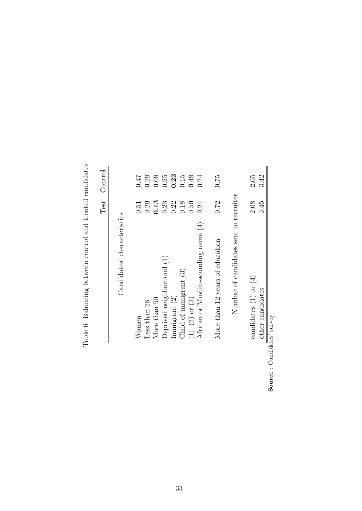<span id="page-33-0"></span>

| $\mathbf$<br>はいは にんへんしゅ<br>l    |
|---------------------------------|
| くくりょう<br>l                      |
| ,<br>,<br>,<br>ì<br>į           |
| ֬֕<br>i<br>ı                    |
| くちもく くろく くろく しょうせん<br>ı         |
| .<br>.<br>.<br>.<br>j<br>֚<br>Í |
|                                 |
| ļ<br>ı<br>!<br>ĺ                |

|                                        | Test | Control |
|----------------------------------------|------|---------|
| Candidates' characteristics            |      |         |
| Women                                  | 0.51 | 0.47    |
| Less than 26                           | 0.29 | 0.29    |
| More than 50                           | 0.13 | 0.09    |
| Deprived neighborhood (1)              | 0.23 | 0.25    |
| Immigrant (2)                          | 0.22 | 0.23    |
| Child of immigrant (3)                 | 0.18 | 0.15    |
| $(1), (2)$ or $(3)$                    | 0.50 | 0.49    |
| African or Muslim-sounding name $(4)$  | 0.24 | 0.24    |
| More than 12 years of education        | 0.72 | 0.75    |
| Number of candidates sent to recruiter |      |         |
| candidates $(1)$ or $(4)$              | 2.08 | 2.05    |
| other candidates                       | 3.45 | 3.42    |

other candidates<br>Source : Candidates' survey Source : Candidates' survey

 $\overline{\phantom{a}}$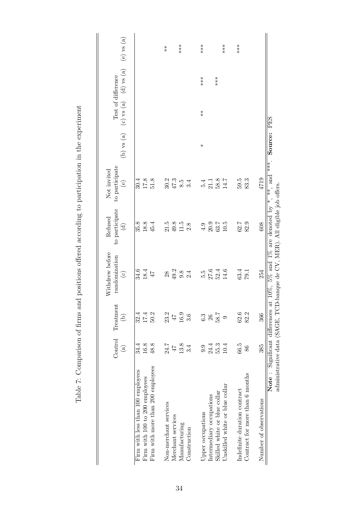<span id="page-34-0"></span>

|                                                                     | Control<br>$\binom{a}{b}$ | Treatment<br>$\widehat{e}$       | Withdrew before<br>randomization<br>$\odot$                                                                          | to participate<br>Refused<br>$\widehat{c}$ | to participate<br>Not invited<br>$\circledcirc$ |             |               | (b) vs (a) (c) vs (a) (d) vs (a) (e) vs (a)<br>Test of difference |       |
|---------------------------------------------------------------------|---------------------------|----------------------------------|----------------------------------------------------------------------------------------------------------------------|--------------------------------------------|-------------------------------------------------|-------------|---------------|-------------------------------------------------------------------|-------|
| Firm with less than 100 employees                                   | 34.4                      | 32.4                             | 34.6                                                                                                                 | 35.8                                       | 30.4                                            |             |               |                                                                   |       |
| Firm with more than 200 employees<br>Firm with 100 to 200 employees | 16.8<br>48.8              | 50.2<br>17.4                     | 18.4<br>$\overline{4}$                                                                                               | $18.8$<br>45.4                             | $\begin{array}{c} 17.8 \\ 51.8 \end{array}$     |             |               |                                                                   |       |
| Non-merchant services                                               | 24.7                      | 23.2                             | 28                                                                                                                   | $21.5$                                     | 30.2                                            |             |               |                                                                   | $*$   |
| Merchant services                                                   | $47\,$                    | $\Delta \bar{P}$                 | $49.2\,$                                                                                                             | $49.8$ $11.5$                              | 47.3                                            |             |               |                                                                   |       |
| Manufacturing                                                       | $13.8\,$                  | 16.9                             | $9.8\,$                                                                                                              |                                            | 8.5                                             |             |               |                                                                   | ***   |
| Construction                                                        | 3.4                       | 3.6                              | 2.4                                                                                                                  | 2.8                                        | 3.4                                             |             |               |                                                                   |       |
| Upper occupations                                                   | 9.9                       | 6.3                              | 5.5                                                                                                                  |                                            |                                                 | ⋇           | $\frac{*}{*}$ | $***$                                                             | $***$ |
| Intermediary occupations                                            | 24.4                      | $26\,$                           |                                                                                                                      |                                            |                                                 |             |               |                                                                   |       |
| Skilled white or blue collar                                        | $55.3$                    | 58.7                             | $\begin{array}{c} 27.6 \\ 52.4 \\ 14.6 \end{array}$                                                                  | $4.9$<br>20.9<br>30.7<br>10.5              | $5.4$<br>$21.3$<br>$3.4$<br>$14.7$              |             |               | $***$                                                             |       |
| Unskilled white or blue collar                                      | 10.4                      | $\circ$                          |                                                                                                                      |                                            |                                                 |             |               |                                                                   | $***$ |
| Indefinite duration contract                                        | 66.5                      | 62.6                             | 63.4                                                                                                                 | 62.7                                       | 5.05                                            |             |               |                                                                   | ***   |
| Contract for more than 6 months                                     | 86                        | 82.2                             | 79.1                                                                                                                 | 82.9                                       | 83.3                                            |             |               |                                                                   |       |
| Number of observations                                              | 385                       | 366                              | 254                                                                                                                  | 608                                        | 4719                                            |             |               |                                                                   |       |
|                                                                     |                           | Note: Significant differences at | administrative data (SAGE, TCD-banque de CV, MER). All eligible job offers.<br>t 10%, 5% and 1% are denoted by $*$ . |                                            | **, and ***.                                    | Source: PES |               |                                                                   |       |

Table 7: Comparison of firms and positions offered according to participation in the experiment Table 7: Comparison of firms and positions offered according to participation in the experiment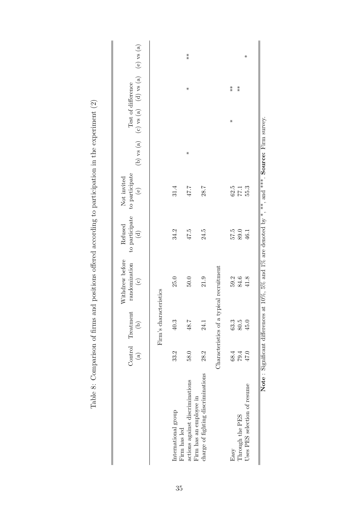| I<br>l                                                                                                                                                                                                                         |
|--------------------------------------------------------------------------------------------------------------------------------------------------------------------------------------------------------------------------------|
| $\frac{1}{2}$<br><b>CONTROL CHARGE</b><br>$\frac{1}{2}$<br>֚֘֝<br>l<br> <br>                                                                                                                                                   |
| $\vdots$                                                                                                                                                                                                                       |
| a de la calendaria de la calendaria de la calendaria de la calendaria de la calendaria de la calendaria de la c                                                                                                                |
| ı<br>ו<br>ו<br> <br> <br> <br>$\frac{4}{3}$                                                                                                                                                                                    |
| ı                                                                                                                                                                                                                              |
|                                                                                                                                                                                                                                |
| ĺ<br>ׇ֚֘֝֕<br>i<br>l                                                                                                                                                                                                           |
|                                                                                                                                                                                                                                |
| j<br> <br> <br> <br>Î                                                                                                                                                                                                          |
| I<br>I<br>さく<br>i                                                                                                                                                                                                              |
| j                                                                                                                                                                                                                              |
| is a company of the company of the company of the company of the company of the company of the company of the company of the company of the company of the company of the company of the company of the company of the company |
| $\frac{1}{2}$<br>I<br>$\frac{1}{1}$<br>l<br>ļ<br>$\vdots$<br>I                                                                                                                                                                 |
|                                                                                                                                                                                                                                |
| I<br>Į<br>j<br>ſ                                                                                                                                                                                                               |
|                                                                                                                                                                                                                                |

 $\left| \right|$ 

<span id="page-35-0"></span>

|                                                               | $\binom{a}{b}$ | Control Treatment<br>$\widehat{e}$ | Withdrew before<br>randomization<br>$\odot$                                                               | to participate<br>Refused<br>$\begin{array}{c}\n\text{d}\n\end{array}$ | to participate<br>Not invited<br>$\circlede$ |         | (b) vs (a) (c) vs (a) $\sqrt{a}$ ) vs (a) vs (a)<br>Test of difference |               |               |
|---------------------------------------------------------------|----------------|------------------------------------|-----------------------------------------------------------------------------------------------------------|------------------------------------------------------------------------|----------------------------------------------|---------|------------------------------------------------------------------------|---------------|---------------|
|                                                               |                | Firm's characteristics             |                                                                                                           |                                                                        |                                              |         |                                                                        |               |               |
| International group                                           | 33.2           | 40.3                               | 25.0                                                                                                      | 34.2                                                                   | 31.4                                         |         |                                                                        |               |               |
| actions against discriminations<br>Firm has led               | 58.0           | 48.7                               | 50.0                                                                                                      | 47.5                                                                   | 47.7                                         | $\star$ |                                                                        | $\ast$        | $\frac{*}{*}$ |
| charge of fighting discriminations<br>Firm has an employee in | 28.2           | 24.1                               | 21.9                                                                                                      | 24.5                                                                   | 28.7                                         |         |                                                                        |               |               |
|                                                               |                |                                    | Characteristics of a typical recruitment                                                                  |                                                                        |                                              |         |                                                                        |               |               |
| $E$ asy                                                       | 68.4           | 63.3                               | 59.2                                                                                                      | 57.5                                                                   | 62.5                                         |         | $\ast$                                                                 | $\frac{*}{*}$ |               |
| Through the PES                                               | $79.4\,$       | 80.5                               | 84.6                                                                                                      | 89.0                                                                   | $77.1\,$                                     |         |                                                                        | $\frac{*}{*}$ |               |
| Uses PES selection of resume                                  | 47.0           | 45.0                               | 41.8                                                                                                      | 46.1                                                                   | 55.3                                         |         |                                                                        |               | ⋇             |
|                                                               |                |                                    | Note: Significant differences at 10%, 5% and 1% are denoted by $*, **$ , and $***$ . Source: Firm survey. |                                                                        |                                              |         |                                                                        |               |               |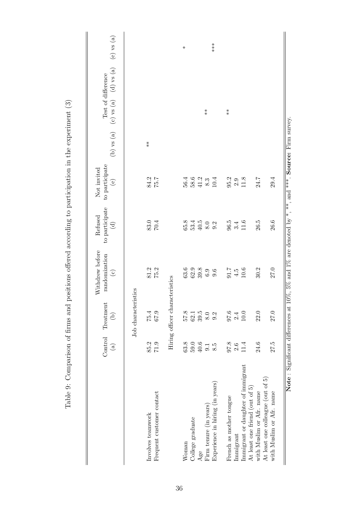<span id="page-36-0"></span>

|                                                            | $\binom{a}{b}$                              | Control Treatment<br>$\widehat{e}$        | Withdrew before<br>randomization<br>$\odot$ | to participate<br>Refused<br>$\begin{pmatrix} 1 \\ 2 \end{pmatrix}$ | to participate<br>Not invited<br>$\odot$           |                      | (b) vs (a) (c) vs (a)                         | $(d)$ vs $(a)$<br>Test of difference | (e) vs (a) |
|------------------------------------------------------------|---------------------------------------------|-------------------------------------------|---------------------------------------------|---------------------------------------------------------------------|----------------------------------------------------|----------------------|-----------------------------------------------|--------------------------------------|------------|
|                                                            |                                             | Job characteristics                       |                                             |                                                                     |                                                    |                      |                                               |                                      |            |
| Frequent customer contact<br>Involves teamwork             | 85.2<br>71.9                                | 75.4<br>67.9                              | 81.2                                        | $83.0$<br>70.4                                                      | 84.2<br>75.7                                       | $\stackrel{*}{\ast}$ |                                               |                                      |            |
|                                                            |                                             | Hiring officer characteristics            |                                             |                                                                     |                                                    |                      |                                               |                                      |            |
| Woman                                                      | 63.8                                        | 57.8                                      |                                             |                                                                     |                                                    |                      |                                               |                                      | $\ast$     |
| College graduate                                           |                                             | 62.1                                      | $63.9$<br>$62.8$<br>$63.9$                  |                                                                     |                                                    |                      |                                               |                                      |            |
| Age                                                        | $\begin{array}{c} 59.0 \\ 40.6 \end{array}$ | 39.5                                      |                                             |                                                                     |                                                    |                      |                                               |                                      |            |
| Firm tenure (in years)                                     | 9.1                                         |                                           |                                             |                                                                     |                                                    |                      | $\begin{array}{c}\n\ast \\ \ast\n\end{array}$ |                                      |            |
| Experience in hiring (in years)                            | 8.5                                         | $\begin{array}{c} 8.0 \\ 9.2 \end{array}$ | 9.6                                         |                                                                     | 56.4<br>58.6<br>41 8.3<br>10.4                     |                      |                                               |                                      | ***        |
| French as mother tongue                                    | 97.8                                        | 0.70                                      |                                             |                                                                     |                                                    |                      | $\frac{*}{*}$                                 |                                      |            |
| Immigrant                                                  | 2.6                                         | 2.4                                       | $\begin{array}{c} 2.1 \\ 1.5 \end{array}$   | $\begin{array}{c} 96.5 \\ 3.4 \end{array}$                          |                                                    |                      |                                               |                                      |            |
| Immigrant or daughter of immigrant                         | 11.4                                        | 10.0                                      | 10.6                                        | 11.6                                                                | $\begin{array}{c} 95.2 \\ 2.9 \\ 11.8 \end{array}$ |                      |                                               |                                      |            |
| At least one friend (out of 5)<br>with Muslim or Afr. name | 24.6                                        | 22.0                                      | 30.2                                        | 26.5                                                                | 24.7                                               |                      |                                               |                                      |            |
| At least one colleague (out of 5)                          |                                             |                                           |                                             |                                                                     |                                                    |                      |                                               |                                      |            |
| with Muslim or Afr. name                                   | 27.5                                        | 27.0                                      | 27.0                                        | 26.6                                                                | 29.4                                               |                      |                                               |                                      |            |

Table 9: Comparison of firms and positions offered according to participation in the experiment (3) Table 9: Comparison of firms and positions offered according to participation in the experiment (3)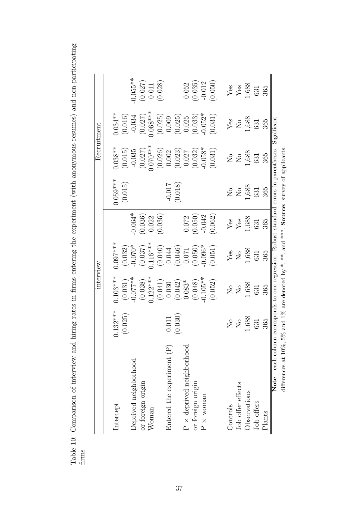<span id="page-37-0"></span>Table 10: Comparison of interview and hiring rates in firms entering the experiment (with anonymous resumes) and non-participating Table 10: Comparison of interview and hiring rates in firms entering the experiment (with anonymous resumes) and non-participating firms

|                                                  |                                      | interview                                                                                                                                                                                                                                                                                                                 |                                                                                                                                                         |                                                                                                    |                                               | Recruitment                                                                                                                                                            |                                                                                                               |                                                                                                    |
|--------------------------------------------------|--------------------------------------|---------------------------------------------------------------------------------------------------------------------------------------------------------------------------------------------------------------------------------------------------------------------------------------------------------------------------|---------------------------------------------------------------------------------------------------------------------------------------------------------|----------------------------------------------------------------------------------------------------|-----------------------------------------------|------------------------------------------------------------------------------------------------------------------------------------------------------------------------|---------------------------------------------------------------------------------------------------------------|----------------------------------------------------------------------------------------------------|
| Intercept                                        | $0.132***$<br>(0.025)                | $0.103***$                                                                                                                                                                                                                                                                                                                | $0.097***$                                                                                                                                              |                                                                                                    | $0.059***$<br>(0.015)                         | $0.038**$                                                                                                                                                              | $0.034***$                                                                                                    |                                                                                                    |
| Deprived neighborhood<br>or foreign origin       |                                      | $\begin{array}{c} (0.031) \\ (0.038) \\ (0.038) \\ (0.122^{***} \\ (0.041) \\ (0.041) \\ (0.042) \\ (0.042) \\ (0.043) \\ (0.048) \\ (0.048) \\ (0.049) \\ (0.049) \\ (0.049) \\ (0.049) \\ (0.049) \\ (0.040) \\ (0.041) \\ (0.040) \\ (0.041) \\ (0.042) \\ (0.043) \\ (0.045) \\ (0.041) \\ (0.042) \\ (0.043) \\ (0.$ | $\begin{array}{l} (0.032) \\ -0.070^{*} \\ (0.037) \\ (0.037) \\ (0.040) \\ (0.044) \\ (0.046) \\ (0.050) \\ (0.050) \\ (0.050) \\ (0.051) \end{array}$ | $0.064*$                                                                                           |                                               | $\begin{array}{c} (0.015) \\ -0.035 \\ (0.027) \\ 0.070^{***} \\ (0.026) \\ (0.002) \\ (0.002) \\ (0.003) \\ (0.032) \\ (0.033) \\ (0.032) \\ -0.058^{**} \end{array}$ | $\begin{array}{c} (0.016) \\ -0.034 \\ (0.027) \\ \end{array}$                                                |                                                                                                    |
| Woman                                            |                                      |                                                                                                                                                                                                                                                                                                                           |                                                                                                                                                         | $(0.036)$<br>$0.022$<br>$(0.036)$                                                                  |                                               |                                                                                                                                                                        |                                                                                                               | $0.055**$<br>$(0.027)$<br>$0.011$<br>$(0.028)$                                                     |
| Entered the experiment (P)                       |                                      |                                                                                                                                                                                                                                                                                                                           |                                                                                                                                                         |                                                                                                    |                                               |                                                                                                                                                                        | $\begin{array}{c} (0.025) \\ 0.009 \\ (0.025) \\ (0.025) \\ (0.033) \\ (0.032)^{*} \\ (0.031) \\ \end{array}$ |                                                                                                    |
|                                                  | $(0.011$<br>$(0.030)$                |                                                                                                                                                                                                                                                                                                                           |                                                                                                                                                         |                                                                                                    | (810.0)                                       |                                                                                                                                                                        |                                                                                                               |                                                                                                    |
| $P \times$ deprived neighborhood                 |                                      |                                                                                                                                                                                                                                                                                                                           |                                                                                                                                                         |                                                                                                    |                                               |                                                                                                                                                                        |                                                                                                               |                                                                                                    |
| or foreign origin                                |                                      |                                                                                                                                                                                                                                                                                                                           |                                                                                                                                                         | $\begin{array}{c} 0.072 \\ (0.050) \\ -0.042 \end{array}$                                          |                                               |                                                                                                                                                                        |                                                                                                               |                                                                                                    |
| $\mathbf{P} \times \mathbf{woman}$               |                                      |                                                                                                                                                                                                                                                                                                                           |                                                                                                                                                         |                                                                                                    |                                               |                                                                                                                                                                        |                                                                                                               |                                                                                                    |
|                                                  |                                      | (0.052)                                                                                                                                                                                                                                                                                                                   |                                                                                                                                                         | (0.062)                                                                                            |                                               | (0.031)                                                                                                                                                                |                                                                                                               | $\begin{array}{c} 0.052 \\ (0.035) \\ -0.012 \\ (0.050) \end{array}$                               |
| Controls                                         |                                      |                                                                                                                                                                                                                                                                                                                           |                                                                                                                                                         |                                                                                                    |                                               |                                                                                                                                                                        |                                                                                                               |                                                                                                    |
| Job offer effects                                |                                      |                                                                                                                                                                                                                                                                                                                           |                                                                                                                                                         |                                                                                                    |                                               |                                                                                                                                                                        |                                                                                                               |                                                                                                    |
| Observations                                     | $1,688$<br>$1,688$<br>$631$<br>$635$ | $1,688$<br>$1,688$<br>$631$<br>$635$                                                                                                                                                                                                                                                                                      | $\begin{array}{l} {\rm Yes} \\ {\rm No} \\ 1,688 \\ 631 \\ 365 \end{array}$                                                                             | $\begin{array}{c} \text{Yes} \\ \text{Yes} \\ \text{1,688} \\ \text{631} \\ \text{55} \end{array}$ | $M_{00}$<br>$M_{00}$<br>$M_{031}$<br>$M_{05}$ | $M_{00}$<br>$M_{00}$<br>$M_{031}$<br>$M_{05}$                                                                                                                          | $\begin{array}{l} {\rm Yes} \\ {\rm N\,0} \\ 1,688 \\ 631 \\ 365 \end{array}$                                 | $\begin{array}{c} \text{Yes} \\ \text{Yes} \\ \text{1,688} \\ \text{631} \\ \text{55} \end{array}$ |
| Job offers                                       |                                      |                                                                                                                                                                                                                                                                                                                           |                                                                                                                                                         |                                                                                                    |                                               |                                                                                                                                                                        |                                                                                                               |                                                                                                    |
| Plants                                           |                                      |                                                                                                                                                                                                                                                                                                                           |                                                                                                                                                         |                                                                                                    |                                               |                                                                                                                                                                        |                                                                                                               |                                                                                                    |
| Note: each column corresponds to one regression. |                                      |                                                                                                                                                                                                                                                                                                                           |                                                                                                                                                         | Robust standard                                                                                    | errors in parentheses                         |                                                                                                                                                                        | Signification                                                                                                 |                                                                                                    |

differences at 10%, 5% and 1% are denoted by \*, \*\*, and \*\*\*. Source: survey of applicants. differences at 10%, 5% and 1% are denoted by  $*$ ,  $*$ , and  $**$ . Source: survey of applicants.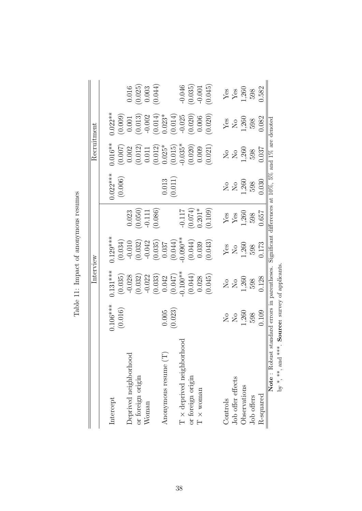<span id="page-38-0"></span>

|                                                                                          |                                                                 | Interview                                                                                                                    |                                                                       |                                                                       |                                                                 | Recruitment                                                                                                                                          |                                                                                                                                                   |                                            |
|------------------------------------------------------------------------------------------|-----------------------------------------------------------------|------------------------------------------------------------------------------------------------------------------------------|-----------------------------------------------------------------------|-----------------------------------------------------------------------|-----------------------------------------------------------------|------------------------------------------------------------------------------------------------------------------------------------------------------|---------------------------------------------------------------------------------------------------------------------------------------------------|--------------------------------------------|
| Intercept                                                                                | $0.106***$<br>(0.016)                                           | $0.131***$                                                                                                                   | $.129***$<br>(0.034)                                                  |                                                                       | $0.022***$<br>(0.006)                                           | $0.016**$                                                                                                                                            | $0.022**$                                                                                                                                         |                                            |
| Deprived neighborhood<br>or foreign origin<br>Woman                                      |                                                                 | $\begin{array}{c} (0.035)\\ -0.028\\ 0.032)\\ 0.032)\\ 0.033)\\ 0.042\\ 0.047\\ 0.047\\ 0.00**\\ 0.047\\ 0.00** \end{array}$ | $-0.042$<br>(0.032)<br>$-0.010$                                       | (0.023)<br>$-0.111$                                                   |                                                                 | $\begin{array}{c} (0.007) \\ 0.002 \\ (0.012) \\ 0.011 \\ (0.012) \\ (0.013) \\ (0.015) \\ (0.035^* \\ (0.030) \\ (0.020) \\ (0.009) \\ \end{array}$ | $\begin{array}{c} (0.009) \\ 0.001 \\ (0.013) \\ (0.012) \\ (0.014) \\ (0.014) \\ (0.014) \\ (0.014) \\ (0.014) \\ (-0.023 \\ -0.025 \end{array}$ | $(0.025)$<br>0.003<br>$(0.044)$<br>0.016   |
| Anonymous resume (T)                                                                     | (0.023)<br>$0.005\,$                                            |                                                                                                                              | $\begin{array}{c} (0.035) \\ 0.037 \\ (0.044) \\ (0.044) \end{array}$ | (0.086)                                                               | (0.013)                                                         |                                                                                                                                                      |                                                                                                                                                   |                                            |
| $T \times$ deprived neighborh<br>or foreign origin<br>$\textbf{T} \times \textbf{woman}$ |                                                                 | $\begin{array}{c} (0.044) \\ 0.028 \\ (0.045) \end{array}$                                                                   | $\begin{array}{c} (0.044) \\ 0.039 \end{array}$<br>(0.043)            | $\begin{array}{l} -0.117 \\ (0.074) \\ 0.201* \\ (0.109) \end{array}$ |                                                                 | (0.021)                                                                                                                                              | (0.020)<br>$(0.020)$<br>0.006                                                                                                                     | $-0.046$<br>$(0.035)$<br>-0.001<br>(0.045) |
| Job offer effects<br>Controls                                                            |                                                                 |                                                                                                                              |                                                                       |                                                                       |                                                                 |                                                                                                                                                      |                                                                                                                                                   |                                            |
| Observations<br>R-squared<br>Job offers                                                  | $2200$<br>$250$<br>$-1.38$<br>0.109                             | 0.128<br>$Z \, 200$<br>$1,260$<br>$1,598$                                                                                    | 0.173<br>$Y_{1,260}$<br>$1,260$<br>$1,398$                            | $\frac{Y_{CS}}{Y_{.260}}$<br>0.657                                    | 0.030<br>$200$<br>$1,260$<br>$1,398$                            | 1.037                                                                                                                                                | 0.082<br>$Y_{00}$<br>$Y_{1,260}$<br>$Y_{1,260}$                                                                                                   | 0.582<br>$Y_{68}$<br>$Y_{60}$<br>$Y_{260}$ |
| by *, **, and ***.<br>Note: Robust                                                       | Source: survey of applicants<br>standard errors in parentheses. |                                                                                                                              |                                                                       |                                                                       | Significant differences at $10\%$ , $5\%$ and $1\%$ are denoted |                                                                                                                                                      |                                                                                                                                                   |                                            |

Table 11: Impact of anonymous resumes Table 11: Impact of anonymous resumes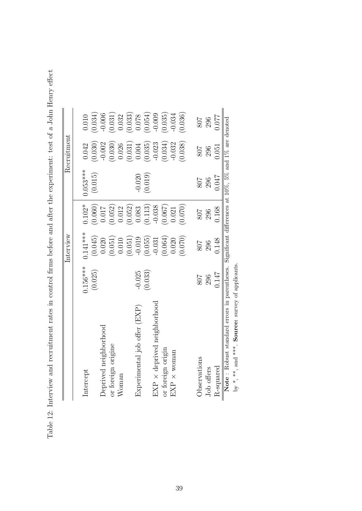<span id="page-39-0"></span>Table 12: Interview and recruitment rates in control firms before and after the experiment: test of a John Henry effect Table 12: Interview and recruitment rates in control firms before and after the experiment: test of a John Henry effect

|                                                                                                                      |            | Interview  |          |            | Recruitment                                     |          |
|----------------------------------------------------------------------------------------------------------------------|------------|------------|----------|------------|-------------------------------------------------|----------|
|                                                                                                                      |            |            |          |            |                                                 |          |
| Intercept                                                                                                            | $0.156***$ | $0.141***$ | $0.102*$ | $0.053***$ | 0.042                                           | 0.010    |
|                                                                                                                      | (0.025)    | (0.045)    | (0.060)  | (0.015)    | (0.030)                                         | (0.034)  |
| Deprived neighborhood                                                                                                |            | 0.020      | 0.017    |            | $-0.002$                                        | $-0.006$ |
| or foreign origine                                                                                                   |            | (0.051)    | (0.052)  |            | (0.030)                                         | (0.031)  |
| Woman                                                                                                                |            | 0.010      | 0.012    |            | 0.026                                           | 0.032    |
|                                                                                                                      |            | (0.051)    | (0.052)  |            | $\begin{array}{c} (0.031) \\ 0.004 \end{array}$ | (0.033)  |
| Experimental job offer $(EXP)$                                                                                       | $-0.025$   | $-0.019$   | 0.083    | $-0.020$   |                                                 | 0.078    |
|                                                                                                                      | (0.033)    | (0.055)    | (0.113)  | (0.019)    | (0.035)                                         | (0.054)  |
| $EXP \times$ deprived neighborhood                                                                                   |            | $-0.031$   | $-0.038$ |            | $-0.023$                                        | $-0.009$ |
| or foreign origin                                                                                                    |            | (0.064)    | (790.0)  |            | (0.034)                                         | (0.035)  |
| $EXP \times$ woman                                                                                                   |            | 0.020      | 0.021    |            | $-0.032$                                        | $-0.034$ |
|                                                                                                                      |            | (0.070)    | (0.070)  |            | (0.038)                                         | (0.036)  |
| Observations                                                                                                         | 708        | 708        | 708      | 807        | 708                                             | 807      |
| Job offers                                                                                                           | 296        | 296        | 296      | 296        | 296                                             | 296      |
| R-squared                                                                                                            | 0.147      | 0.148      | 0.168    | 7447       | 1.051                                           | 1.077    |
| <b>Note</b> : Robust standard errors in parentheses. Significant differences at $10\%$ , $5\%$ and $1\%$ are denoted |            |            |          |            |                                                 |          |

by \*, \*\*, and \*\*\*. Source: survey of applicants. by \*, \*\*, and \*\*\*. Source: survey of applicants.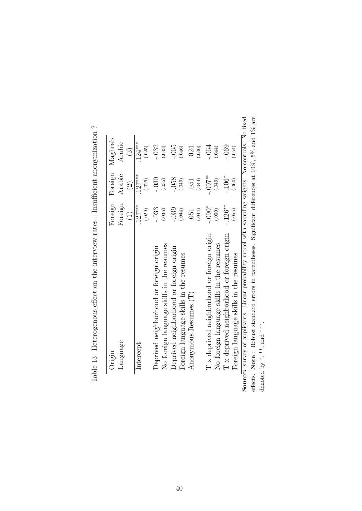| Origin                                                                                               | Foreign                                | Foreign            | Maghreb                |  |
|------------------------------------------------------------------------------------------------------|----------------------------------------|--------------------|------------------------|--|
| Language                                                                                             | Foreign                                | Arabic             | Arabic                 |  |
|                                                                                                      | $\begin{pmatrix} 1 \\ 1 \end{pmatrix}$ | $\widehat{\Omega}$ | $\widehat{\mathbb{C}}$ |  |
| Intercept                                                                                            | $.127***$                              | $.127***$          | $.124***$              |  |
|                                                                                                      | (.029)                                 | (.029)             | (.025)                 |  |
| Deprived neighborhood or foreign origin                                                              | $-.033$                                | $-.030$            | $-.032$                |  |
| No foreign language skills in the resumes                                                            | (.036)                                 | (.035)             | (.033)                 |  |
| Deprived neighborhood or foreign origin                                                              | $-0.39$                                | $-0.58$            | $-0.065$               |  |
| Foreign language skills in the resumes                                                               | (0.44)                                 | (.049)             | (.046)                 |  |
| Anonymous Resumes (T)                                                                                | <b>051</b>                             | 051                | 024                    |  |
|                                                                                                      | (444)                                  | (.044)             | (.036)                 |  |
| T x deprived neighborhood or foreign origin                                                          | $-0.000$                               | $-0.07$ **         | $-.064$                |  |
| No foreign language skills in the resumes                                                            | (.050)                                 | (049)              | (.044)                 |  |
| T x deprived neighborhood or foreign origin                                                          | $-.126**$                              | $-.106*$           | $-0.069$               |  |
| Foreign language skills in the resumes                                                               | (.055)                                 | (.060)             | (.054)                 |  |
| rce: survey of applicants. Linear probability model with sampling weights. No controls. No fix       |                                        |                    |                        |  |
| ts. Note : Robust standard errors in parentheses. Significant differences at $10\%, 5\%$ and $1\%$ a |                                        |                    |                        |  |

Table 13: Heterogenous effect on the interview rates : Insufficient anonymization ? Table 13: Heterogenous effect on the interview rates : Insufficient anonymization ?

<span id="page-40-0"></span>ted<br>are Source: survey of applicants. Linear probability model with sampling weights. No controls. No fixed effects. Note : Robust standard errors in parentheses. Significant differences at 10%, 5% and 1% are **Source:** survey of applicants<br>effects. **Note** : Robust stand<br>denoted by \*, \*\*, and \*\*\*. denoted by  $*$ ,  $**$ , and  $***$ .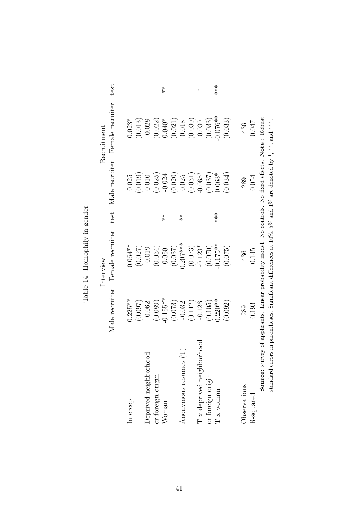<span id="page-41-0"></span>

|                               |                | Interview                                                                                                  |                      |                | Recruitment      |                                          |
|-------------------------------|----------------|------------------------------------------------------------------------------------------------------------|----------------------|----------------|------------------|------------------------------------------|
|                               | Male recruiter | Female recruiter                                                                                           | test                 | Male recruiter | Female recruiter | test                                     |
| Intercept                     | $0.225**$      | $0.064***$                                                                                                 |                      | 0.025          | $0.023*$         |                                          |
|                               | (0.097)        | (0.027)                                                                                                    |                      | (0.019)        | (0.013)          |                                          |
| Deprived neighborhood         | $-0.062$       | $-0.019$                                                                                                   |                      | 0.010          | $-0.028$         |                                          |
| or foreign origin             | (0.089)        | (0.034)                                                                                                    |                      | (0.025)        | (0.022)          |                                          |
| Woman                         | $-0.155**$     | 0.050                                                                                                      | $\stackrel{*}{\ast}$ | $-0.024$       | $0.040*$         | $\begin{array}{c} * \ * \ * \end{array}$ |
|                               | (0.073)        | (0.037)                                                                                                    |                      | (0.020)        | (0.021)          |                                          |
| Anonymous resumes (T)         | $-0.032$       | $0.207***$                                                                                                 | $\stackrel{*}{*}$    | 0.025          | $0.018\,$        |                                          |
|                               | (0.112)        | (0.073)                                                                                                    |                      | (0.031)        | (0.030)          |                                          |
| poo<br>T x deprived neighborh | $-0.126$       | $-0.123*$                                                                                                  |                      | $-0.065*$      | 0.030            | $\star$                                  |
| or foreign origin             | (0.105)        | (0.070)                                                                                                    |                      | (0.037)        | (0.033)          |                                          |
| $\mathbf T$ x woman           | $0.220**$      | $-0.175**$                                                                                                 | ***                  | $0.063*$       | $-0.076**$       | ***                                      |
|                               | (0.092)        | (0.075)                                                                                                    |                      | (0.034)        | (0.033)          |                                          |
| Observations                  | 289            | 436                                                                                                        |                      | 289            | 436              |                                          |
| R-squared                     | 0.193          | 0.145                                                                                                      |                      | 0.054          | 710.0            |                                          |
|                               |                | <b>Source:</b> survey of applicants. Linear probability model. No controls. No fixed effects. Note: Robust |                      |                |                  |                                          |
|                               |                | standard errors in parentheses. Significant differences at 10%, 5% and 1% are denoted by *, ***, and ***   |                      |                |                  |                                          |

Table 14: Homophily in gender Table 14: Homophily in gender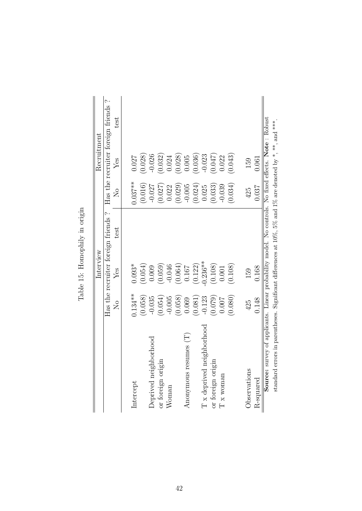<span id="page-42-0"></span>

|                                        |                           | Interview                          |      |                           | Recruitment                                                                                           |
|----------------------------------------|---------------------------|------------------------------------|------|---------------------------|-------------------------------------------------------------------------------------------------------|
|                                        |                           | Has the recruiter foreign friends? |      |                           | Has the recruiter foreign friends?                                                                    |
|                                        | $\mathsf{S}^{\mathsf{O}}$ | ${\rm Yes}$                        | test | $\mathsf{X}_{\mathsf{O}}$ | test<br>$Y$ es                                                                                        |
| Intercept                              | $0.134***$                | $0.093*$                           |      | $0.037***$                | 0.027                                                                                                 |
|                                        | (0.058)                   | (0.054)                            |      | (0.016)                   | (0.028)                                                                                               |
| Deprived neighborhood                  | $-0.035$                  | 0.009                              |      | $-0.027$                  | $-0.026$                                                                                              |
| igin<br>or foreign ori                 | (0.054)                   | (0.059)                            |      | (0.027)                   | (0.032)                                                                                               |
| Woman                                  | $-0.005$                  | $-0.046$                           |      | 0.022                     | 0.024                                                                                                 |
|                                        | (0.058)                   | (0.064)                            |      | (0.029)                   | (0.028)                                                                                               |
| resumes(T)<br>Anonymous 1              | 0.069                     | 0.167                              |      | $-0.005$                  | 0.005                                                                                                 |
|                                        | (0.081)                   | (0.122)                            |      | (0.024)                   | (0.036)                                                                                               |
| neighborhood<br>$\mathbb T$ x deprived | $-0.123$                  | $0.236**$                          |      | 0.025                     | $-0.023$                                                                                              |
| gin<br>or foreign ori                  | (0.079)                   | (0.108)                            |      | (0.033)                   | (250.0)                                                                                               |
| $\mathbf T$ x woman                    | 0.007                     | $0.001\,$                          |      | $-0.039$                  | 0.022                                                                                                 |
|                                        | (0.080)                   | (0.108)                            |      | (0.034)                   | (0.043)                                                                                               |
|                                        |                           |                                    |      |                           |                                                                                                       |
| Observations                           | 425                       | 159                                |      | 425                       | 159                                                                                                   |
| R-squared                              | 0.148                     | 0.168                              |      | 0.037                     | 0.061                                                                                                 |
| Source:                                |                           |                                    |      |                           | survey of applicants. Linear probability model. No controls. No fixed effects. Note : Robust          |
| $\operatorname{standard}$              |                           |                                    |      |                           | errors in parentheses. Significant differences at $10\%$ , 5% and $1\%$ are denoted by *, **, and *** |

Table 15: Homophily in origin Table 15: Homophily in origin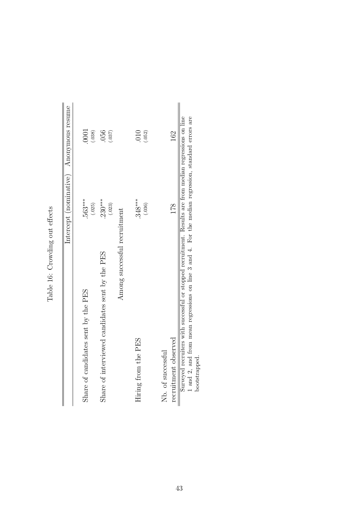<span id="page-43-0"></span>

|                                                                                                                                                                                                                                | Intercept (nominate) | Anonymous resume |
|--------------------------------------------------------------------------------------------------------------------------------------------------------------------------------------------------------------------------------|----------------------|------------------|
| Share of candidates sent by the PES                                                                                                                                                                                            | .563****<br>(.025)   | 0001<br>(.038)   |
| Share of interviewed candidates sent by the PES                                                                                                                                                                                | $230***$<br>(.023)   | 056<br>(.037)    |
| Among successful recruitment                                                                                                                                                                                                   |                      |                  |
| Hiring from the PES                                                                                                                                                                                                            | $.348***$<br>(.036)  | (.052)<br>010    |
| recruitment observed<br>Nb. of successful                                                                                                                                                                                      | 178                  | 162              |
| 1 and 2, and from mean regressions on line 3 and 4. For the median regression, standard errors are<br>Surveyed recruiters with successful or stopped recruitment. Results are from median regressions on line<br>bootstrapped. |                      |                  |

Table 16: Crowding out effects Table 16: Crowding out effects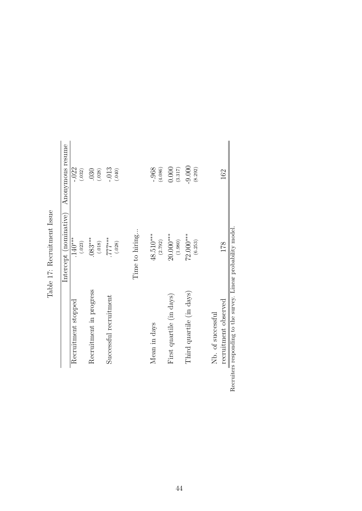<span id="page-44-0"></span>

|                          | Intercept (nominative) | Anonymous resume    |
|--------------------------|------------------------|---------------------|
| Recruitment stopped      | $.140***$<br>(.023)    | $-.022$<br>(.032)   |
| Recruitment in progress  | $.083***$<br>(.018)    | $.030$<br>$(.028)$  |
| Successful recruitment   | 177<br>(.028)          | $-.013$<br>(040)    |
|                          | Time to hiring         |                     |
| Mean in days             | 48.510 ***<br>(2.792)  | (4.086)<br>$-0.968$ |
| First quartile (in days) | $20.000***$<br>(1.980) | 0.000<br>(3.317)    |
| Third quartile (in days) | 72.000 ***<br>(6.253)  | $-9.000$<br>(8.292) |
| Nb. of successful        |                        |                     |
| recruitment observed     | 178                    | 162                 |

| -<br>CC                    |  |
|----------------------------|--|
| contrition<br>Ĩ.<br>J<br>Q |  |
|                            |  |
| こくらく<br>່ເ<br>í            |  |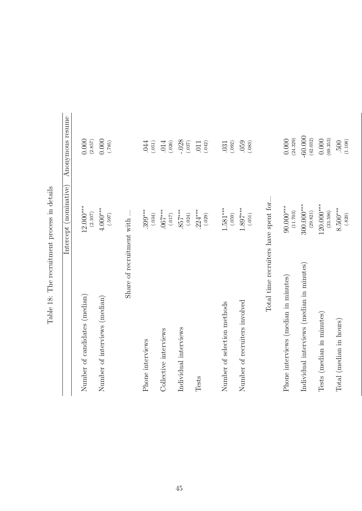<span id="page-45-0"></span>

|                                           | Intercept (nominative)               | Anonymous resume      |
|-------------------------------------------|--------------------------------------|-----------------------|
| Number of candidates (median)             | $12.000***$<br>$(2.107)$             | $0.000\,$<br>(2.857)  |
| Number of interviews (median)             | $4.000***$<br>(.597)                 | 0.000<br>(387)        |
|                                           | Share of recruitment with            |                       |
| Phone interviews                          | $.399***$<br>(.034)                  | .044<br>(.051)        |
| Collective interviews                     | $.067***$<br>$(.117)$                | $.014$<br>$(.026)$    |
| Individual interviews                     | $.857***$<br>(.024)                  | $-0.028$<br>(.037)    |
| Tests                                     | $.224***$<br>(.029)                  | (.042)<br>.011        |
| Number of selection methods               | $1.581***$<br>(.059)                 | (.092)<br>.031        |
| Number of recruiters involved             | $1.897***$<br>(.051)                 | 059<br>(.083)         |
|                                           | Total time recruiters have spent for |                       |
| Phone interviews (median in minutes)      | 90.000 ***<br>(11.703)               | (24.329)<br>0.000     |
| Individual interviews (median in minutes) | $300.000***$<br>(29.821)             | $-60.000$<br>(42.032) |
| Tests (median in minutes)                 | 120.000 ***<br>(33.596)              | (69.353)<br>0.000     |
| Total (median in hours)                   | 8.500***<br>(.820)                   | (1.108)<br>500        |

Table 18: The recruitment process in details Table 18: The recruitment process in details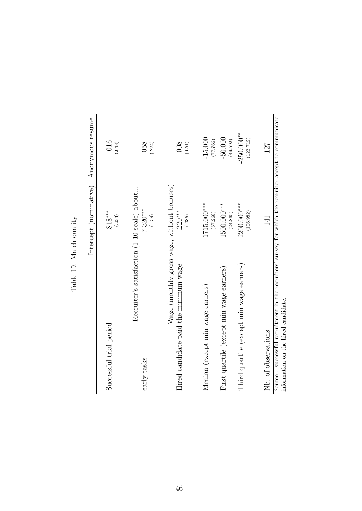<span id="page-46-0"></span>

|                                                                                                                                                | Intercept (nominative)    | Anonymous resume           |
|------------------------------------------------------------------------------------------------------------------------------------------------|---------------------------|----------------------------|
| Successful trial period                                                                                                                        | $.818***$<br>(.033)       | $-016$<br>(.048)           |
| Recruiter's satisfaction (1-10 scale) about<br>early tasks                                                                                     | $7.320***$<br>(.159)      | 850.<br>(.224)             |
| Wage (monthly gross wage, without bonuses)<br>Hired candidate paid the minimum wage                                                            | $.220***$<br>(.035)       | 008<br>(.051)              |
| Median (except min wage earners)                                                                                                               | 1715.000***<br>(57.268)   | $-15.000$<br>(77.766)      |
| First quartile (except min wage earners)                                                                                                       | 1500.000 ***<br>(24.865)  | $-50.000$<br>(49.592)      |
| Third quartile (except min wage earners)                                                                                                       | 2200.000 ***<br>(106.982) | $-250.000***$<br>(122.712) |
| Nb. of observations                                                                                                                            | 141                       | 127                        |
| Source : successful recruitment in the recruiters' survey for which the recruiter accept to communicate<br>information on the hired candidate. |                           |                            |

Table 19: Match quality Table 19: Match quality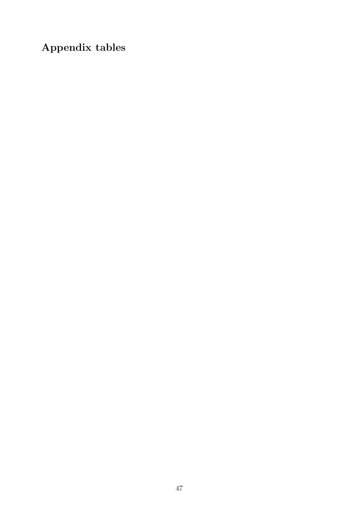Appendix tables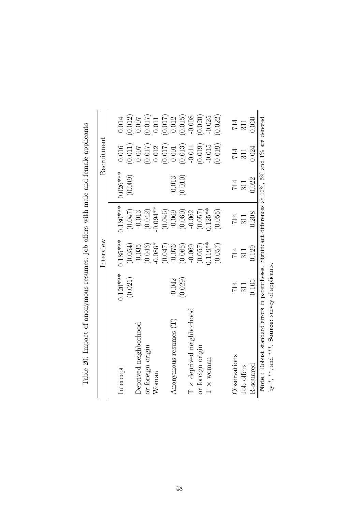<span id="page-48-0"></span>

|                                                  |            | Interview  |            |                                                           | Recruitment                                                 |                                                                                |
|--------------------------------------------------|------------|------------|------------|-----------------------------------------------------------|-------------------------------------------------------------|--------------------------------------------------------------------------------|
| Intercept                                        | $0.120***$ | $0.185***$ | $0.180***$ | $0.026***$                                                | 0.016                                                       | 0.014                                                                          |
|                                                  | (0.021)    | (0.054)    | (0.047)    | (0.009)                                                   | (0.011)                                                     | (0.012)                                                                        |
| Deprived neighborhood                            |            | $-0.035$   | $-0.013$   |                                                           | $0.007$                                                     | $0.007$                                                                        |
| or foreign origin                                |            | (0.043)    | (0.042)    |                                                           | (0.017)                                                     |                                                                                |
| Woman                                            |            | $-0.086*$  | $-0.094**$ |                                                           | 0.012                                                       |                                                                                |
|                                                  |            | (0.047)    | (0.046)    |                                                           | $\left( \begin{matrix} 0.017 \\ 0.001 \end{matrix} \right)$ | $\begin{array}{c} (0.017) \\ 0.011 \\ (0.017) \\ (0.017) \\ 0.012 \end{array}$ |
| Anonymous resumes (T)                            | $-0.042$   | $-0.076$   | $-0.069$   | $-0.013$                                                  |                                                             |                                                                                |
|                                                  | (0.029)    | (0.065)    | (0.060)    | (0.010)                                                   | $(0.013)$<br>-0.011                                         | $(0.015)$<br>-0.008                                                            |
| $T \times$ deprived neighborhood                 |            | $-0.060$   | $-0.062$   |                                                           |                                                             |                                                                                |
| or foreign origin                                |            | (0.057)    | (0.057)    |                                                           | (0.019)                                                     | (0.020)                                                                        |
| $\texttt{T} \times \texttt{woman}$               |            | $0.119**$  | $0.125***$ |                                                           | $-0.015$                                                    | $-0.025$                                                                       |
|                                                  |            | (0.057)    | (0.055)    |                                                           | (0.019)                                                     | (0.022)                                                                        |
| Observations                                     | 714        | 714        | 714        | 714                                                       | 714                                                         | $714\,$                                                                        |
| Job offers                                       | 311        | 311        | 311        | 311                                                       | 311                                                         | 311                                                                            |
| R-squared                                        | 0.105      | 0.129      | 0.208      | 0.22                                                      | 0.024                                                       | 0.060                                                                          |
| Note: Robust standard errors in parentheses.     |            |            |            | Significant differences at $10\%$ , 5% and 1% are denoted |                                                             |                                                                                |
| by *, **, and ***. Source: survey of applicants. |            |            |            |                                                           |                                                             |                                                                                |

Table 20: Impact of anonymous resumes: job offers with male and female applicants Table 20: Impact of anonymous resumes: job offers with male and female applicants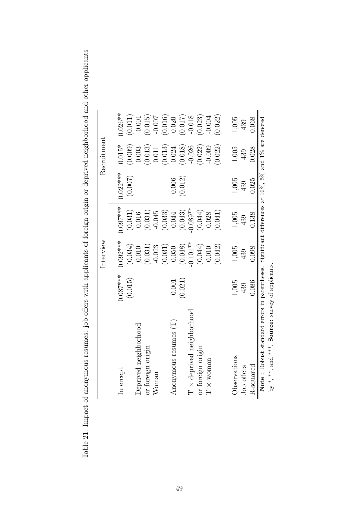|                                              |            | Interview  |            |                                                                 | Recruitment |           |
|----------------------------------------------|------------|------------|------------|-----------------------------------------------------------------|-------------|-----------|
| Intercept                                    | $0.087***$ | $0.092***$ | $0.097***$ | $0.022***$                                                      | $0.015*$    | $0.026**$ |
|                                              | (0.015)    | (0.034)    | (0.031)    | (0.007)                                                         | (0.009)     | (0.011)   |
| Deprived neighborhood                        |            | 0.010      | 0.016      |                                                                 | 0.003       | $-0.001$  |
| or foreign origin                            |            | (0.031)    | (0.031)    |                                                                 | (0.013)     | (0.015)   |
| Woman                                        |            | $-0.023$   | $-0.045$   |                                                                 | $0.011$     | $-0.007$  |
|                                              |            | (0.031)    | (0.033)    |                                                                 | (0.013)     | (0.016)   |
| Anonymous resumes (T)                        | $-0.001$   | 0.050      | 0.044      | 0.006                                                           | 0.024       | 0.020     |
|                                              | (0.021)    | (0.048)    | (0.043)    | (0.012)                                                         | (0.018)     | (710.0)   |
| $T \times$ deprived neighborhood             |            | $0.101***$ | $0.089**$  |                                                                 | $-0.026$    | $-0.018$  |
| or foreign origin                            |            | (0.044)    | (0.044)    |                                                                 | (0.022)     | (0.023)   |
| $T \times$ woman                             |            | $0.010\,$  | 0.028      |                                                                 | $-0.009$    | $-0.004$  |
|                                              |            | (0.042)    | (0.041)    |                                                                 | (0.022)     | (0.022)   |
| Observations                                 | 1,005      | 1,005      | 1,005      | 1,005                                                           | 1,005       | 1,005     |
| Job offers                                   | 439        | 439        | 439        | 439                                                             | 439         | 439       |
| R-squared                                    | 0.086      | 0.098      | 0.138      | 0.025                                                           | 0.028       | 0.068     |
| Note: Robust standard errors in parentheses. |            |            |            | Significant differences at $10\%$ , $5\%$ and $1\%$ are denoted |             |           |

by \*, \*\*, and \*\*\*. Source: survey of applicants.

by  $*,$   $**$ , and  $**$ . Source: survey of applicants.

<span id="page-49-0"></span>Table 21: Impact of anonymous resumes: job offers with applicants of foreign origin or deprived neighborhood and other applicants Table 21: Impact of anonymous resumes: job offers with applicants of foreign origin or deprived neighborhood and other applicants

49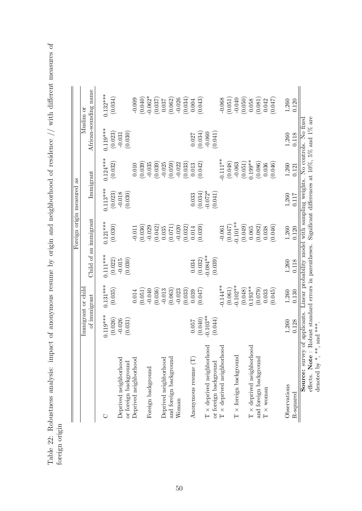<span id="page-50-0"></span>Table 22: Robustness analysis: impact of anonymous resume by origin and neighborhood of residence // with different measures of Table 22: Robustness analysis: impact of anonymous resume by origin and neighborhood of residence  $//$  with different measures of foreign origin

|                                                                                        |                       |                                    |                       | Foreign origin measured                         |                       | æ                     |                                                                        |                                                           |
|----------------------------------------------------------------------------------------|-----------------------|------------------------------------|-----------------------|-------------------------------------------------|-----------------------|-----------------------|------------------------------------------------------------------------|-----------------------------------------------------------|
|                                                                                        |                       | Immigrant or child<br>of immigrant |                       | Child of an immigrant                           |                       | Immigrant             | Muslim                                                                 | African-sounding name<br>ð                                |
|                                                                                        | $0.119***$<br>(0.026) | $0.131***$<br>(0.035)              | $0.111***$<br>(0.022) | $0.121***$<br>(0.030)                           | $0.113***$<br>(0.023) | $0.124***$<br>(0.032) | $0.119***$<br>(0.023)                                                  | $0.132***$<br>(0.034)                                     |
| Deprived neighborhood                                                                  | $-0.026$              |                                    | $-0.015$              |                                                 | $-0.018$              |                       | $-0.031$                                                               |                                                           |
| Deprived neighborhood<br>or foreign background                                         | (0.031)               | 0.014                              | (0.030)               | $-0.011$                                        | (0.030)               | $0.010\,$             | (0.030)                                                                | $-0.009$                                                  |
|                                                                                        |                       | (0.051)                            |                       | (0.036)                                         |                       | (0.039)               |                                                                        | (0.040)                                                   |
| Foreign background                                                                     |                       | $-0.040$                           |                       | $-0.029$                                        |                       | $-0.035$              |                                                                        | $-0.062*$                                                 |
|                                                                                        |                       | (0.036)                            |                       | (0.042)                                         |                       | (0.039)               |                                                                        | $\begin{array}{c} (0.037) \\ 0.037 \\ 0.062) \end{array}$ |
| Deprived neighborhood                                                                  |                       | $-0.013$                           |                       | 0.035                                           |                       | $-0.025$              |                                                                        |                                                           |
| and foreign background                                                                 |                       | (0.063)                            |                       | (0.071)                                         |                       | (0.059)               |                                                                        |                                                           |
| Woman                                                                                  |                       | (0.033)<br>$-0.023$                |                       | (0.032)<br>$-0.020$                             |                       | $-0.022$<br>(0.033)   |                                                                        | (0.034)<br>$-0.026$                                       |
| Anonymous resume $(T)$                                                                 | 0.057                 | 0.039                              | 0.034                 | 0.014                                           | 0.033                 | 0.013                 | 0.027                                                                  | $0.004\,$                                                 |
|                                                                                        | (0.040)               | (0.047)                            | (0.032)               | (0.039)                                         | (0.034)               | (0.042)               | (0.034)                                                                | (0.043)                                                   |
| 100d<br>$T \times$ deprived neighborh                                                  | $-0.103**$            |                                    | $-0.084**$            |                                                 | $-0.072*$             |                       | $-0.060$                                                               |                                                           |
| or foreign background                                                                  | (0.044)               |                                    | (0.039)               |                                                 | (0.041)               |                       | (0.041)                                                                |                                                           |
| $\mathbb{T}\times$ deprived neighborhood                                               |                       | $-0.144**$                         |                       | $-0.061$                                        |                       | $-0.111**$            |                                                                        | $-0.068$                                                  |
|                                                                                        |                       | (0.061)                            |                       | (0.047)                                         |                       | (0.048)               |                                                                        | (0.051)                                                   |
| $T \times$ foreign background                                                          |                       | $-0.102**$                         |                       | $-0.101**$                                      |                       | $-0.063$              |                                                                        | $-0.040$                                                  |
|                                                                                        |                       | (0.048)                            |                       | (0.049)                                         |                       | (0.051)               |                                                                        | (0.050)                                                   |
| $T \times$ deprived neighborhood                                                       |                       | $0.193**$                          |                       | 0.065                                           |                       | $0.199**$             |                                                                        | 0.058                                                     |
| and foreign background                                                                 |                       | (0.079)<br>0.033                   |                       | (0.082)                                         |                       | (0.086)               |                                                                        | (0.081)                                                   |
| $\textbf{T} \times \textbf{woman}$                                                     |                       |                                    |                       | 0.038                                           |                       | 0.036                 |                                                                        | 0.042                                                     |
|                                                                                        |                       | (0.045)                            |                       | (0.046)                                         |                       | (0.046)               |                                                                        | (750.0)                                                   |
| Observations                                                                           | 1,260                 | 1,260                              | 1,260                 | 1,260                                           | 1,260                 | $1,260$<br>$0.121$    | 1,260                                                                  | 1,260                                                     |
| R-squared                                                                              | 0.128                 | 0.130                              | 0.118                 | 0.120                                           | 0.117                 |                       | 0.118                                                                  | 0.120                                                     |
| effects. Note: Robust standard errors in parentheses.<br>Source: survey of applicants. |                       |                                    |                       | Linear probability model with sampling weights. |                       |                       | Significant differences at 10%, 5% and 1% are<br>No controls. No fixed |                                                           |
| $*$<br>denoted by $*$ ,                                                                | , and ***             |                                    |                       |                                                 |                       |                       |                                                                        |                                                           |

50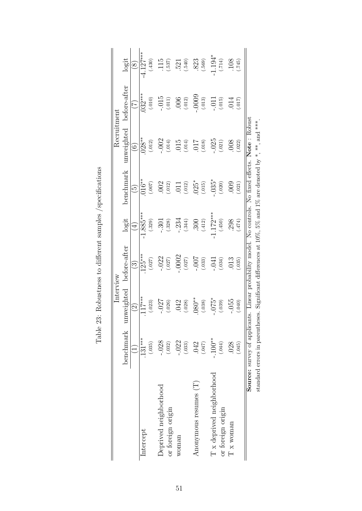<span id="page-51-0"></span>

|                           |                                 | nterview                 |                                                                                            |                  |                          | Recruitment              |                      |                   |
|---------------------------|---------------------------------|--------------------------|--------------------------------------------------------------------------------------------|------------------|--------------------------|--------------------------|----------------------|-------------------|
|                           | benchmark ur                    |                          | weighted before-after                                                                      | logit            | benchmark                | inweighted               | before-after         | logit             |
|                           | Ξ                               | $\widehat{\mathfrak{Q}}$ | $\widehat{\mathbb{C}}$                                                                     | $(\pm)$          | $\widetilde{\mathbb{G}}$ | $\widehat{\mathfrak{s}}$ | E                    | $\circledS$       |
| Intercept                 | $.131***$                       | $117***$                 | $.125***$                                                                                  | $-1.885***$      | $016**$                  | $.028**$                 | $032***$             | $-4.127***$       |
|                           | (.035)                          | (.023)                   | (.027)                                                                                     | (.329)           | $(0.007)$                | (.012)                   | (.010)               | (.430)            |
| Deprived neighborhood     | $-0.028$                        | $-0.027$                 | $-.022$                                                                                    | $-301$           | $.002$<br>$(.012)$       | $-002$                   | $-015$<br>(.011)     |                   |
| or foreign origin         | (.032)                          | (.026)                   | (.027)                                                                                     | (.328)           |                          | (.014)                   |                      | $.115\atop(.537)$ |
| woman                     | $-.022$                         | .042                     | $-.0002$                                                                                   | $-234$           | .011 (.012)              |                          | $.006$<br>(.012)     | 521               |
|                           | (.033)                          | (.028)                   | $(.027)$                                                                                   | (.344)           |                          | (0.015)                  |                      | (.540)            |
| Anonymous resumes (T)     | .042                            | $080**$                  | -.000-                                                                                     |                  | $.025$ <sup>*</sup>      | (810.)                   | $-00009$             | .823              |
|                           | (740.)                          | (.038)                   | (.033)                                                                                     | $.300$<br>(.412) |                          |                          | $\left( .013\right)$ | (.569)            |
| T x deprived neighborhood | $-100***$                       | $-0.075*$                | $-041$                                                                                     | $-1.172***$      | $-0.35*$                 | $-.025$                  | $-0.11$              | 1.194*            |
| or foreign origin         | (.444)                          | (.039)                   | (.034)                                                                                     | (450)            | (.020)                   | (.021)                   | (.015)               | (.714)            |
| $\mathbf T$ x woman       | .028                            | $-0.55$                  | 013                                                                                        | 298              | 000                      | .008                     | .014                 | 108               |
|                           | (.045)                          | (040)                    | (.035)                                                                                     | (474)            | (.021)                   | (.022)                   | (710)                | (745)             |
|                           | Source: survey of applicant     |                          | s. Linear probability model. No controls. No fixed effects. Note: Robust                   |                  |                          |                          |                      |                   |
|                           | standard errors in parentheses. |                          | Significant differences at $10\%$ , 5% and 1% are denoted by $^*$ , $^{**}$ , and $^{***}$ |                  |                          |                          |                      |                   |

Table 23: Robustness to different samples /specifications Table 23: Robustness to different samples /specifications